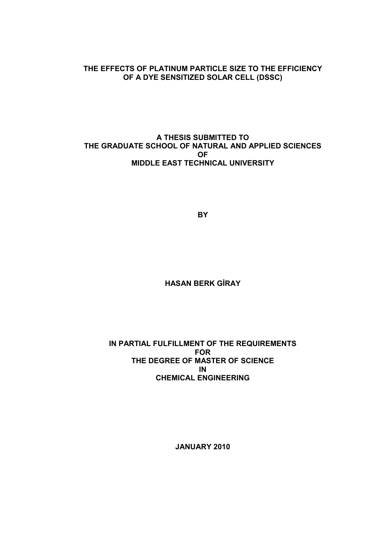### THE EFFECTS OF PLATINUM PARTICLE SIZE TO THE EFFICIENCY OF A DYE SENSITIZED SOLAR CELL (DSSC)

### A THESIS SUBMITTED TO THE GRADUATE SCHOOL OF NATURAL AND APPLIED SCIENCES OF MIDDLE EAST TECHNICAL UNIVERSITY

**BY** 

**HASAN BERK GİRAY** 

#### IN PARTIAL FULFILLMENT OF THE REQUIREMENTS FOR THE DEGREE OF MASTER OF SCIENCE IN CHEMICAL ENGINEERING

JANUARY 2010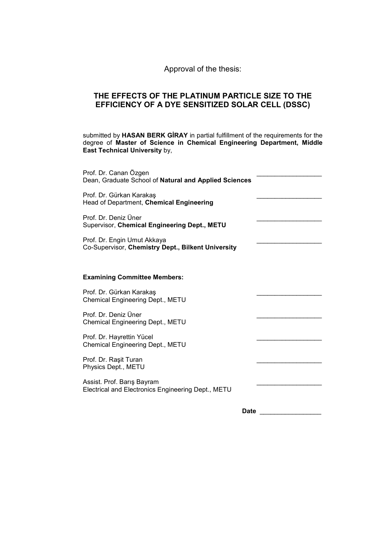Approval of the thesis:

### THE EFFECTS OF THE PLATINUM PARTICLE SIZE TO THE EFFICIENCY OF A DYE SENSITIZED SOLAR CELL (DSSC)

submitted by HASAN BERK GIRAY in partial fulfillment of the requirements for the degree of Master of Science in Chemical Engineering Department, Middle East Technical University by,

| Prof. Dr. Canan Özgen<br>Dean, Graduate School of Natural and Applied Sciences    |  |
|-----------------------------------------------------------------------------------|--|
| Prof. Dr. Gürkan Karakaş<br>Head of Department, Chemical Engineering              |  |
| Prof. Dr. Deniz Üner<br>Supervisor, Chemical Engineering Dept., METU              |  |
| Prof. Dr. Engin Umut Akkaya<br>Co-Supervisor, Chemistry Dept., Bilkent University |  |
| <b>Examining Committee Members:</b>                                               |  |
| Prof. Dr. Gürkan Karakaş<br>Chemical Engineering Dept., METU                      |  |
| Prof. Dr. Deniz Üner<br>Chemical Engineering Dept., METU                          |  |
| Prof. Dr. Hayrettin Yücel<br>Chemical Engineering Dept., METU                     |  |
| Prof. Dr. Rașit Turan<br>Physics Dept., METU                                      |  |
| Assist. Prof. Barış Bayram<br>Electrical and Electronics Engineering Dept., METU  |  |
| <b>Date</b>                                                                       |  |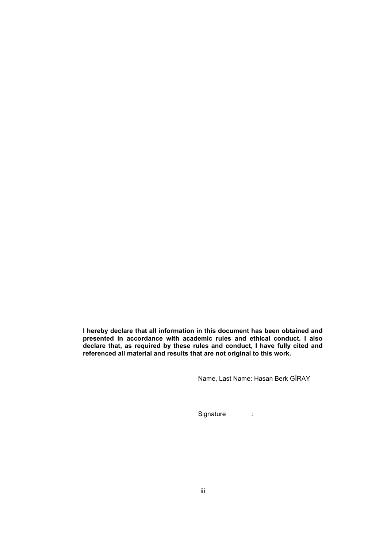I hereby declare that all information in this document has been obtained and presented in accordance with academic rules and ethical conduct. I also declare that, as required by these rules and conduct, I have fully cited and referenced all material and results that are not original to this work.

Name, Last Name: Hasan Berk GİRAY

Signature :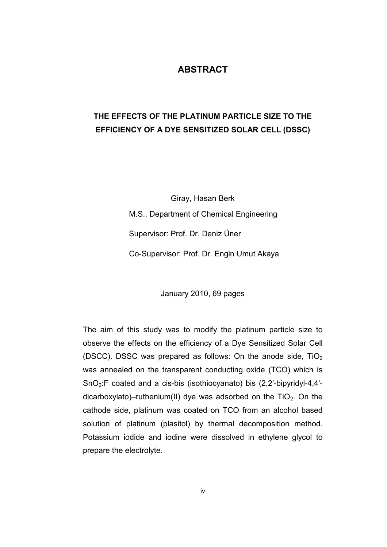### ABSTRACT

## THE EFFECTS OF THE PLATINUM PARTICLE SIZE TO THE EFFICIENCY OF A DYE SENSITIZED SOLAR CELL (DSSC)

Giray, Hasan Berk M.S., Department of Chemical Engineering Supervisor: Prof. Dr. Deniz Üner Co-Supervisor: Prof. Dr. Engin Umut Akaya

January 2010, 69 pages

The aim of this study was to modify the platinum particle size to observe the effects on the efficiency of a Dye Sensitized Solar Cell (DSCC). DSSC was prepared as follows: On the anode side,  $TiO<sub>2</sub>$ was annealed on the transparent conducting oxide (TCO) which is SnO2:F coated and a cis-bis (isothiocyanato) bis (2,2'-bipyridyl-4,4' dicarboxylato)–ruthenium(II) dye was adsorbed on the  $TiO<sub>2</sub>$ . On the cathode side, platinum was coated on TCO from an alcohol based solution of platinum (plasitol) by thermal decomposition method. Potassium iodide and iodine were dissolved in ethylene glycol to prepare the electrolyte.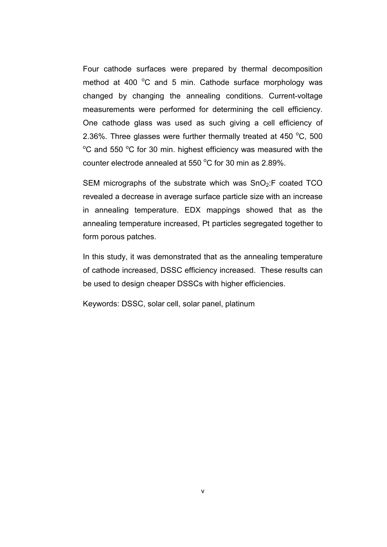Four cathode surfaces were prepared by thermal decomposition method at 400  $^{\circ}$ C and 5 min. Cathode surface morphology was changed by changing the annealing conditions. Current-voltage measurements were performed for determining the cell efficiency. One cathode glass was used as such giving a cell efficiency of 2.36%. Three glasses were further thermally treated at 450  $^{\circ}$ C, 500  $\rm{^{\circ}C}$  and 550  $\rm{^{\circ}C}$  for 30 min. highest efficiency was measured with the counter electrode annealed at 550  $^{\circ}$ C for 30 min as 2.89%.

SEM micrographs of the substrate which was  $SnO<sub>2</sub>:F$  coated TCO revealed a decrease in average surface particle size with an increase in annealing temperature. EDX mappings showed that as the annealing temperature increased, Pt particles segregated together to form porous patches.

In this study, it was demonstrated that as the annealing temperature of cathode increased, DSSC efficiency increased. These results can be used to design cheaper DSSCs with higher efficiencies.

Keywords: DSSC, solar cell, solar panel, platinum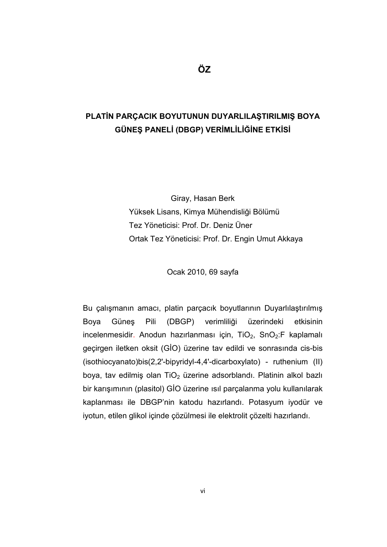## PLATİN PARÇACIK BOYUTUNUN DUYARLILAŞTIRILMIŞ BOYA GÜNEŞ PANELİ (DBGP) VERİMLİLİĞİNE ETKİSİ

Giray, Hasan Berk Yüksek Lisans, Kimya Mühendisliği Bölümü Tez Yöneticisi: Prof. Dr. Deniz Üner Ortak Tez Yöneticisi: Prof. Dr. Engin Umut Akkaya

Ocak 2010, 69 sayfa

Bu çalışmanın amacı, platin parçacık boyutlarının Duyarlılaştırılmış Boya Güneş Pili (DBGP) verimliliği üzerindeki etkisinin incelenmesidir. Anodun hazırlanması için,  $TiO<sub>2</sub>$ , SnO<sub>2</sub>:F kaplamalı geçirgen iletken oksit (GİO) üzerine tav edildi ve sonrasında cis-bis (isothiocyanato)bis(2,2'-bipyridyl-4,4'-dicarboxylato) - ruthenium (II) boya, tav edilmiş olan  $TiO<sub>2</sub>$  üzerine adsorblandı. Platinin alkol bazlı bir karışımının (plasitol) GİO üzerine ısıl parçalanma yolu kullanılarak kaplanması ile DBGP'nin katodu hazırlandı. Potasyum iyodür ve iyotun, etilen glikol içinde çözülmesi ile elektrolit çözelti hazırlandı.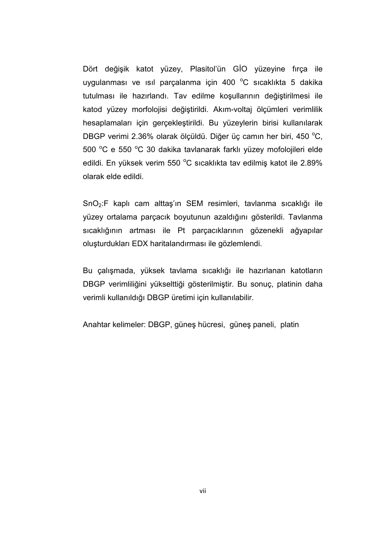Dört değişik katot yüzey, Plasitol'ün GİO yüzeyine fırça ile uygulanması ve ısıl parçalanma için 400 $\degree$ C sıcaklıkta 5 dakika tutulması ile hazırlandı. Tav edilme koşullarının değiştirilmesi ile katod yüzey morfolojisi değiştirildi. Akım-voltaj ölçümleri verimlilik hesaplamaları için gerçekleştirildi. Bu yüzeylerin birisi kullanılarak DBGP verimi 2.36% olarak ölçüldü. Diğer üç camın her biri, 450 °C, 500 °C e 550 °C 30 dakika tavlanarak farklı yüzey mofolojileri elde edildi. En yüksek verim 550 °C sıcaklıkta tav edilmiş katot ile 2.89% olarak elde edildi.

SnO2:F kaplı cam alttaş'ın SEM resimleri, tavlanma sıcaklığı ile yüzey ortalama parçacık boyutunun azaldığını gösterildi. Tavlanma sıcaklığının artması ile Pt parçacıklarının gözenekli ağyapılar oluşturdukları EDX haritalandırması ile gözlemlendi.

Bu çalışmada, yüksek tavlama sıcaklığı ile hazırlanan katotların DBGP verimliliğini yükselttiği gösterilmiştir. Bu sonuç, platinin daha verimli kullanıldığı DBGP üretimi için kullanılabilir.

Anahtar kelimeler: DBGP, güneş hücresi, güneş paneli, platin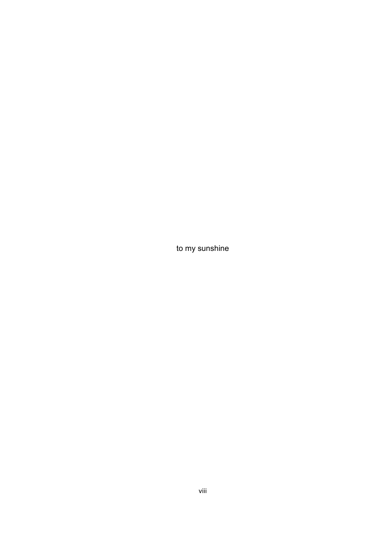to my sunshine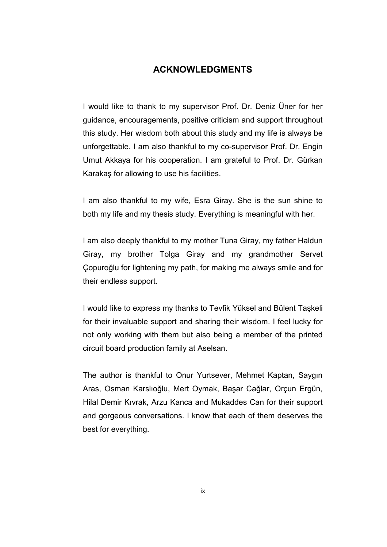## ACKNOWLEDGMENTS

I would like to thank to my supervisor Prof. Dr. Deniz Üner for her guidance, encouragements, positive criticism and support throughout this study. Her wisdom both about this study and my life is always be unforgettable. I am also thankful to my co-supervisor Prof. Dr. Engin Umut Akkaya for his cooperation. I am grateful to Prof. Dr. Gürkan Karakaş for allowing to use his facilities.

I am also thankful to my wife, Esra Giray. She is the sun shine to both my life and my thesis study. Everything is meaningful with her.

I am also deeply thankful to my mother Tuna Giray, my father Haldun Giray, my brother Tolga Giray and my grandmother Servet Çopuroğlu for lightening my path, for making me always smile and for their endless support.

I would like to express my thanks to Tevfik Yüksel and Bülent Taşkeli for their invaluable support and sharing their wisdom. I feel lucky for not only working with them but also being a member of the printed circuit board production family at Aselsan.

The author is thankful to Onur Yurtsever, Mehmet Kaptan, Saygın Aras, Osman Karslıoğlu, Mert Oymak, Başar Cağlar, Orçun Ergün, Hilal Demir Kıvrak, Arzu Kanca and Mukaddes Can for their support and gorgeous conversations. I know that each of them deserves the best for everything.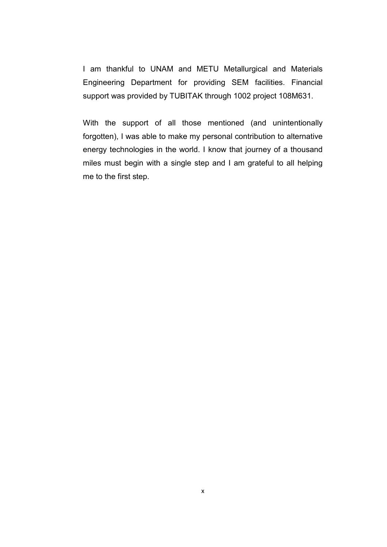I am thankful to UNAM and METU Metallurgical and Materials Engineering Department for providing SEM facilities. Financial support was provided by TUBITAK through 1002 project 108M631.

With the support of all those mentioned (and unintentionally forgotten), I was able to make my personal contribution to alternative energy technologies in the world. I know that journey of a thousand miles must begin with a single step and I am grateful to all helping me to the first step.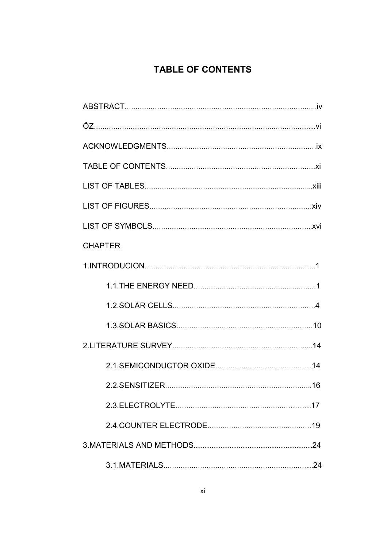# TABLE OF CONTENTS

| <b>CHAPTER</b> |
|----------------|
|                |
|                |
|                |
|                |
|                |
|                |
|                |
|                |
|                |
|                |
|                |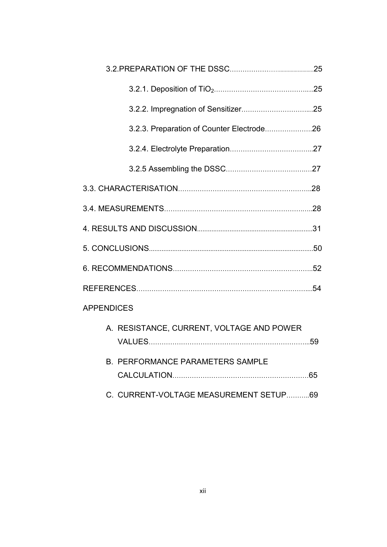|                   | 3.2.3. Preparation of Counter Electrode26 |  |
|-------------------|-------------------------------------------|--|
|                   |                                           |  |
|                   |                                           |  |
|                   |                                           |  |
|                   |                                           |  |
|                   |                                           |  |
|                   |                                           |  |
|                   |                                           |  |
|                   |                                           |  |
| <b>APPENDICES</b> |                                           |  |
|                   | A. RESISTANCE, CURRENT, VOLTAGE AND POWER |  |
|                   | <b>B. PERFORMANCE PARAMETERS SAMPLE</b>   |  |
|                   | C. CURRENT-VOLTAGE MEASUREMENT SETUP69    |  |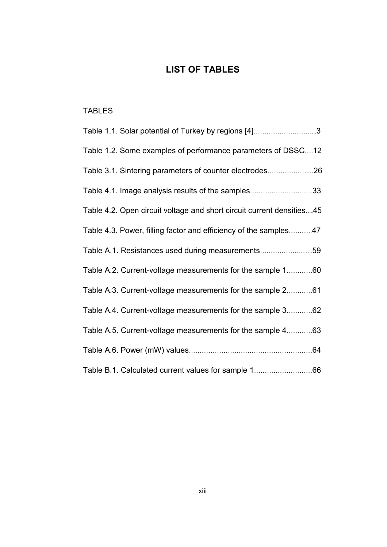## LIST OF TABLES

## TABLES

| Table 1.1. Solar potential of Turkey by regions [4]3                   |
|------------------------------------------------------------------------|
| Table 1.2. Some examples of performance parameters of DSSC12           |
| Table 3.1. Sintering parameters of counter electrodes26                |
| Table 4.1. Image analysis results of the samples33                     |
| Table 4.2. Open circuit voltage and short circuit current densities 45 |
| Table 4.3. Power, filling factor and efficiency of the samples47       |
| Table A.1. Resistances used during measurements59                      |
| Table A.2. Current-voltage measurements for the sample 160             |
| Table A.3. Current-voltage measurements for the sample 261             |
| Table A.4. Current-voltage measurements for the sample 362             |
| Table A.5. Current-voltage measurements for the sample 463             |
|                                                                        |
| Table B.1. Calculated current values for sample 166                    |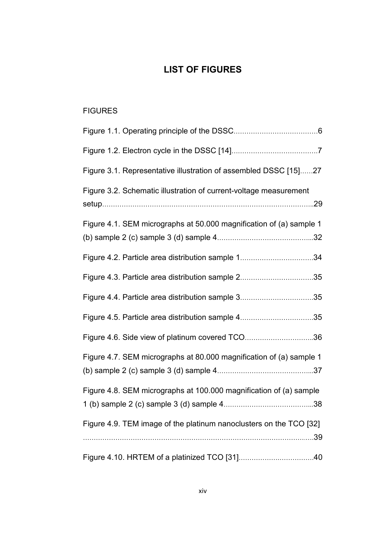## LIST OF FIGURES

## **FIGURES**

| Figure 3.1. Representative illustration of assembled DSSC [15]27    |
|---------------------------------------------------------------------|
| Figure 3.2. Schematic illustration of current-voltage measurement   |
| Figure 4.1. SEM micrographs at 50.000 magnification of (a) sample 1 |
| Figure 4.2. Particle area distribution sample 134                   |
| Figure 4.3. Particle area distribution sample 235                   |
| Figure 4.4. Particle area distribution sample 335                   |
| Figure 4.5. Particle area distribution sample 435                   |
| Figure 4.6. Side view of platinum covered TCO36                     |
| Figure 4.7. SEM micrographs at 80.000 magnification of (a) sample 1 |
| Figure 4.8. SEM micrographs at 100.000 magnification of (a) sample  |
| Figure 4.9. TEM image of the platinum nanoclusters on the TCO [32]  |
|                                                                     |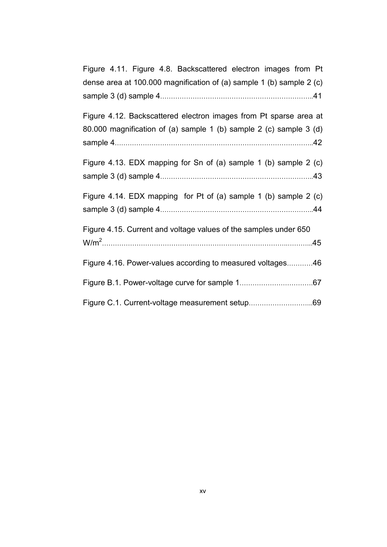| Figure 4.11. Figure 4.8. Backscattered electron images from Pt       |
|----------------------------------------------------------------------|
| dense area at 100.000 magnification of (a) sample 1 (b) sample 2 (c) |
|                                                                      |
| Figure 4.12. Backscattered electron images from Pt sparse area at    |
| 80.000 magnification of (a) sample 1 (b) sample 2 (c) sample 3 (d)   |
|                                                                      |
| Figure 4.13. EDX mapping for Sn of (a) sample 1 (b) sample 2 (c)     |
|                                                                      |
| Figure 4.14. EDX mapping for Pt of (a) sample 1 (b) sample 2 (c)     |
|                                                                      |
| Figure 4.15. Current and voltage values of the samples under 650     |
|                                                                      |
| Figure 4.16. Power-values according to measured voltages46           |
|                                                                      |
|                                                                      |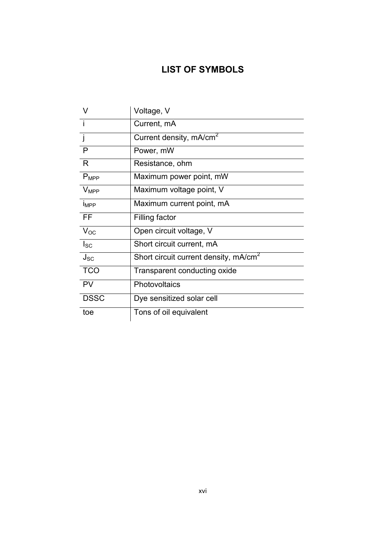## LIST OF SYMBOLS

| V           | Voltage, V                                        |
|-------------|---------------------------------------------------|
|             | Current, mA                                       |
| -i          | Current density, mA/cm <sup>2</sup>               |
| P           | Power, mW                                         |
| R.          | Resistance, ohm                                   |
| $P_{MPP}$   | Maximum power point, mW                           |
| $V_{MPP}$   | Maximum voltage point, V                          |
| <b>IMPP</b> | Maximum current point, mA                         |
| FF.         | <b>Filling factor</b>                             |
| $V_{OC}$    | Open circuit voltage, V                           |
| $I_{SC}$    | Short circuit current, mA                         |
| $J_{SC}$    | Short circuit current density, mA/cm <sup>2</sup> |
| <b>TCO</b>  | Transparent conducting oxide                      |
| <b>PV</b>   | Photovoltaics                                     |
| <b>DSSC</b> | Dye sensitized solar cell                         |
| toe         | Tons of oil equivalent                            |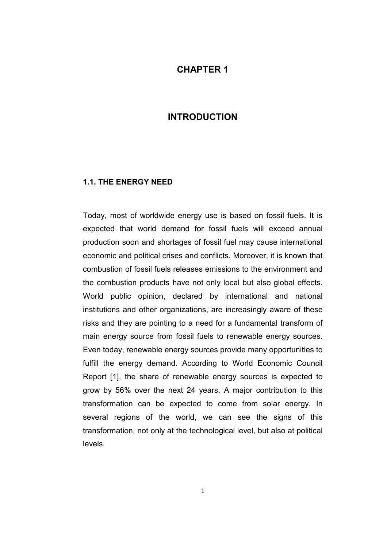## CHAPTER 1

## INTRODUCTION

### 1.1. THE ENERGY NEED

Today, most of worldwide energy use is based on fossil fuels. It is expected that world demand for fossil fuels will exceed annual production soon and shortages of fossil fuel may cause international economic and political crises and conflicts. Moreover, it is known that combustion of fossil fuels releases emissions to the environment and the combustion products have not only local but also global effects. World public opinion, declared by international and national institutions and other organizations, are increasingly aware of these risks and they are pointing to a need for a fundamental transform of main energy source from fossil fuels to renewable energy sources. Even today, renewable energy sources provide many opportunities to fulfill the energy demand. According to World Economic Council Report [1], the share of renewable energy sources is expected to grow by 56% over the next 24 years. A major contribution to this transformation can be expected to come from solar energy. In several regions of the world, we can see the signs of this transformation, not only at the technological level, but also at political levels.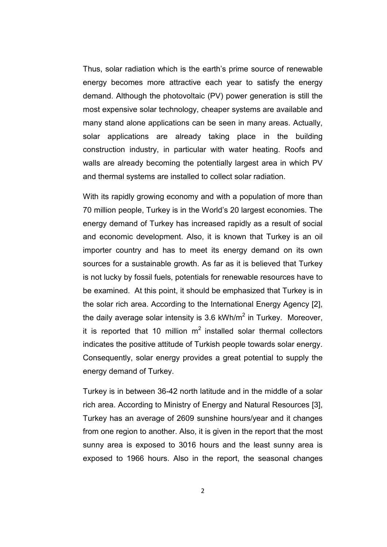Thus, solar radiation which is the earth's prime source of renewable energy becomes more attractive each year to satisfy the energy demand. Although the photovoltaic (PV) power generation is still the most expensive solar technology, cheaper systems are available and many stand alone applications can be seen in many areas. Actually, solar applications are already taking place in the building construction industry, in particular with water heating. Roofs and walls are already becoming the potentially largest area in which PV and thermal systems are installed to collect solar radiation.

With its rapidly growing economy and with a population of more than 70 million people, Turkey is in the World's 20 largest economies. The energy demand of Turkey has increased rapidly as a result of social and economic development. Also, it is known that Turkey is an oil importer country and has to meet its energy demand on its own sources for a sustainable growth. As far as it is believed that Turkey is not lucky by fossil fuels, potentials for renewable resources have to be examined. At this point, it should be emphasized that Turkey is in the solar rich area. According to the International Energy Agency [2], the daily average solar intensity is 3.6 kWh/m<sup>2</sup> in Turkey. Moreover, it is reported that 10 million  $m^2$  installed solar thermal collectors indicates the positive attitude of Turkish people towards solar energy. Consequently, solar energy provides a great potential to supply the energy demand of Turkey.

Turkey is in between 36-42 north latitude and in the middle of a solar rich area. According to Ministry of Energy and Natural Resources [3], Turkey has an average of 2609 sunshine hours/year and it changes from one region to another. Also, it is given in the report that the most sunny area is exposed to 3016 hours and the least sunny area is exposed to 1966 hours. Also in the report, the seasonal changes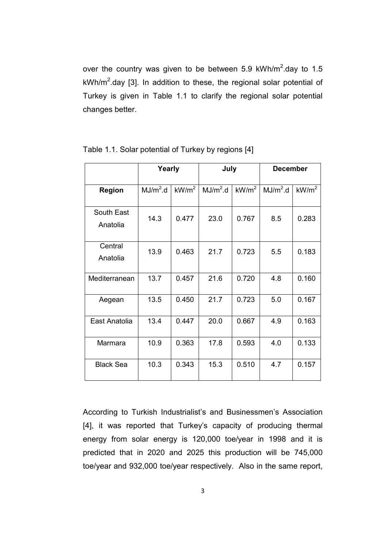over the country was given to be between 5.9 kWh/m<sup>2</sup>.day to 1.5 kWh/m<sup>2</sup>.day [3]. In addition to these, the regional solar potential of Turkey is given in Table 1.1 to clarify the regional solar potential changes better.

|                        | Yearly               |                   | July                 |                   | <b>December</b>      |                   |
|------------------------|----------------------|-------------------|----------------------|-------------------|----------------------|-------------------|
| <b>Region</b>          | MJ/m <sup>2</sup> .d | kW/m <sup>2</sup> | MJ/m <sup>2</sup> .d | kW/m <sup>2</sup> | MJ/m <sup>2</sup> .d | kW/m <sup>2</sup> |
| South East<br>Anatolia | 14.3                 | 0.477             | 23.0                 | 0.767             | 8.5                  | 0.283             |
| Central<br>Anatolia    | 13.9                 | 0.463             | 21.7                 | 0.723             | 5.5                  | 0.183             |
| Mediterranean          | 13.7                 | 0.457             | 21.6                 | 0.720             | 4.8                  | 0.160             |
| Aegean                 | 13.5                 | 0.450             | 21.7                 | 0.723             | 5.0                  | 0.167             |
| East Anatolia          | 13.4                 | 0.447             | 20.0                 | 0.667             | 4.9                  | 0.163             |
| Marmara                | 10.9                 | 0.363             | 17.8                 | 0.593             | 4.0                  | 0.133             |
| <b>Black Sea</b>       | 10.3                 | 0.343             | 15.3                 | 0.510             | 4.7                  | 0.157             |

Table 1.1. Solar potential of Turkey by regions [4]

According to Turkish Industrialist's and Businessmen's Association [4], it was reported that Turkey's capacity of producing thermal energy from solar energy is 120,000 toe/year in 1998 and it is predicted that in 2020 and 2025 this production will be 745,000 toe/year and 932,000 toe/year respectively. Also in the same report,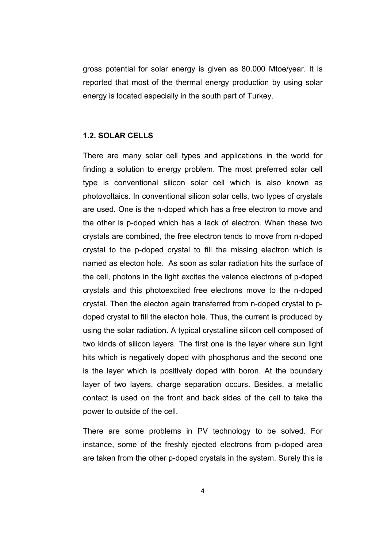gross potential for solar energy is given as 80.000 Mtoe/year. It is reported that most of the thermal energy production by using solar energy is located especially in the south part of Turkey.

### 1.2. SOLAR CELLS

There are many solar cell types and applications in the world for finding a solution to energy problem. The most preferred solar cell type is conventional silicon solar cell which is also known as photovoltaics. In conventional silicon solar cells, two types of crystals are used. One is the n-doped which has a free electron to move and the other is p-doped which has a lack of electron. When these two crystals are combined, the free electron tends to move from n-doped crystal to the p-doped crystal to fill the missing electron which is named as electon hole. As soon as solar radiation hits the surface of the cell, photons in the light excites the valence electrons of p-doped crystals and this photoexcited free electrons move to the n-doped crystal. Then the electon again transferred from n-doped crystal to pdoped crystal to fill the electon hole. Thus, the current is produced by using the solar radiation. A typical crystalline silicon cell composed of two kinds of silicon layers. The first one is the layer where sun light hits which is negatively doped with phosphorus and the second one is the layer which is positively doped with boron. At the boundary layer of two layers, charge separation occurs. Besides, a metallic contact is used on the front and back sides of the cell to take the power to outside of the cell.

There are some problems in PV technology to be solved. For instance, some of the freshly ejected electrons from p-doped area are taken from the other p-doped crystals in the system. Surely this is

4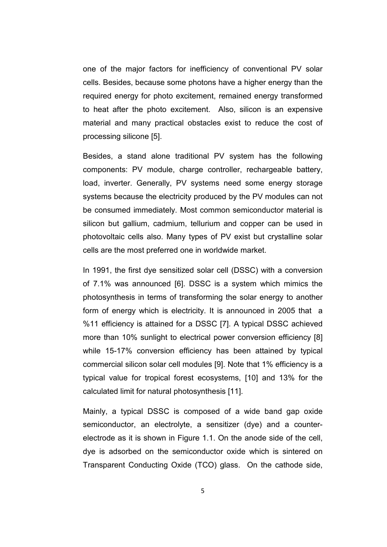one of the major factors for inefficiency of conventional PV solar cells. Besides, because some photons have a higher energy than the required energy for photo excitement, remained energy transformed to heat after the photo excitement. Also, silicon is an expensive material and many practical obstacles exist to reduce the cost of processing silicone [5].

Besides, a stand alone traditional PV system has the following components: PV module, charge controller, rechargeable battery, load, inverter. Generally, PV systems need some energy storage systems because the electricity produced by the PV modules can not be consumed immediately. Most common semiconductor material is silicon but gallium, cadmium, tellurium and copper can be used in photovoltaic cells also. Many types of PV exist but crystalline solar cells are the most preferred one in worldwide market.

In 1991, the first dye sensitized solar cell (DSSC) with a conversion of 7.1% was announced [6]. DSSC is a system which mimics the photosynthesis in terms of transforming the solar energy to another form of energy which is electricity. It is announced in 2005 that a %11 efficiency is attained for a DSSC [7]. A typical DSSC achieved more than 10% sunlight to electrical power conversion efficiency [8] while 15-17% conversion efficiency has been attained by typical commercial silicon solar cell modules [9]. Note that 1% efficiency is a typical value for tropical forest ecosystems, [10] and 13% for the calculated limit for natural photosynthesis [11].

Mainly, a typical DSSC is composed of a wide band gap oxide semiconductor, an electrolyte, a sensitizer (dye) and a counterelectrode as it is shown in Figure 1.1. On the anode side of the cell, dye is adsorbed on the semiconductor oxide which is sintered on Transparent Conducting Oxide (TCO) glass. On the cathode side,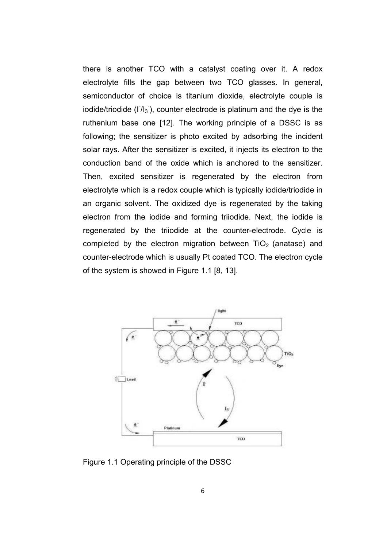there is another TCO with a catalyst coating over it. A redox electrolyte fills the gap between two TCO glasses. In general, semiconductor of choice is titanium dioxide, electrolyte couple is iodide/triodide (I<sup>-</sup>/l<sub>3</sub><sup>-</sup>), counter electrode is platinum and the dye is the ruthenium base one [12]. The working principle of a DSSC is as following; the sensitizer is photo excited by adsorbing the incident solar rays. After the sensitizer is excited, it injects its electron to the conduction band of the oxide which is anchored to the sensitizer. Then, excited sensitizer is regenerated by the electron from electrolyte which is a redox couple which is typically iodide/triodide in an organic solvent. The oxidized dye is regenerated by the taking electron from the iodide and forming triiodide. Next, the iodide is regenerated by the triiodide at the counter-electrode. Cycle is completed by the electron migration between  $TiO<sub>2</sub>$  (anatase) and counter-electrode which is usually Pt coated TCO. The electron cycle of the system is showed in Figure 1.1 [8, 13].



Figure 1.1 Operating principle of the DSSC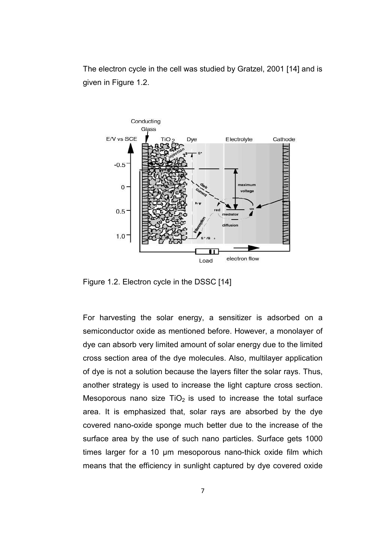The electron cycle in the cell was studied by Gratzel, 2001 [14] and is given in Figure 1.2.



Figure 1.2. Electron cycle in the DSSC [14]

For harvesting the solar energy, a sensitizer is adsorbed on a semiconductor oxide as mentioned before. However, a monolayer of dye can absorb very limited amount of solar energy due to the limited cross section area of the dye molecules. Also, multilayer application of dye is not a solution because the layers filter the solar rays. Thus, another strategy is used to increase the light capture cross section. Mesoporous nano size  $TiO<sub>2</sub>$  is used to increase the total surface area. It is emphasized that, solar rays are absorbed by the dye covered nano-oxide sponge much better due to the increase of the surface area by the use of such nano particles. Surface gets 1000 times larger for a 10 µm mesoporous nano-thick oxide film which means that the efficiency in sunlight captured by dye covered oxide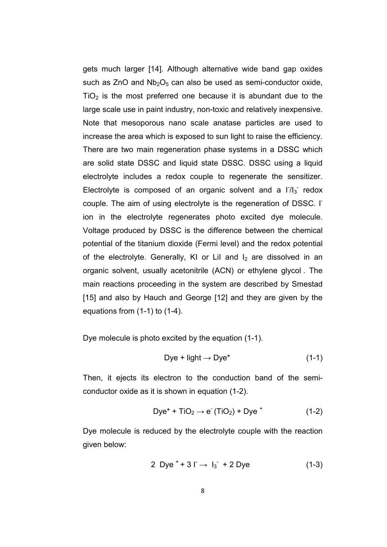gets much larger [14]. Although alternative wide band gap oxides such as  $ZnO$  and  $Nb<sub>2</sub>O<sub>5</sub>$  can also be used as semi-conductor oxide,  $TiO<sub>2</sub>$  is the most preferred one because it is abundant due to the large scale use in paint industry, non-toxic and relatively inexpensive. Note that mesoporous nano scale anatase particles are used to increase the area which is exposed to sun light to raise the efficiency. There are two main regeneration phase systems in a DSSC which are solid state DSSC and liquid state DSSC. DSSC using a liquid electrolyte includes a redox couple to regenerate the sensitizer. Electrolyte is composed of an organic solvent and a  $17I_3$  redox couple. The aim of using electrolyte is the regeneration of DSSC. IT ion in the electrolyte regenerates photo excited dye molecule. Voltage produced by DSSC is the difference between the chemical potential of the titanium dioxide (Fermi level) and the redox potential of the electrolyte. Generally, KI or LiI and  $I_2$  are dissolved in an organic solvent, usually acetonitrile (ACN) or ethylene glycol . The main reactions proceeding in the system are described by Smestad [15] and also by Hauch and George [12] and they are given by the equations from (1-1) to (1-4).

Dye molecule is photo excited by the equation (1-1).

$$
Dye + light \rightarrow Dye^* \tag{1-1}
$$

Then, it ejects its electron to the conduction band of the semiconductor oxide as it is shown in equation (1-2).

$$
Dye^* + TiO_2 \rightarrow e^-(TiO_2) + Dye^+ \tag{1-2}
$$

Dye molecule is reduced by the electrolyte couple with the reaction given below:

2 Dye<sup>+</sup> + 3 
$$
\Gamma \rightarrow I_3^-
$$
 + 2 Dye (1-3)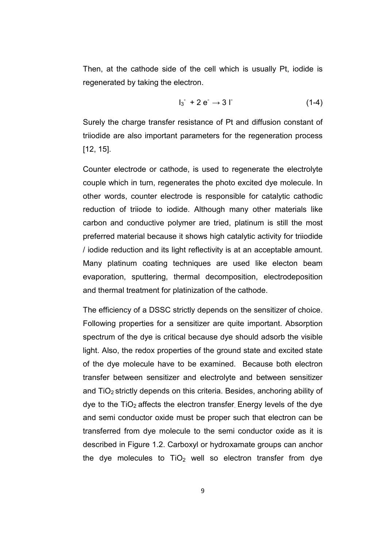Then, at the cathode side of the cell which is usually Pt, iodide is regenerated by taking the electron.

$$
I_3^{\phantom{1}} + 2 e^{\phantom{1}} \rightarrow 3 I^{\phantom{1}} \tag{1-4}
$$

Surely the charge transfer resistance of Pt and diffusion constant of triiodide are also important parameters for the regeneration process [12, 15].

Counter electrode or cathode, is used to regenerate the electrolyte couple which in turn, regenerates the photo excited dye molecule. In other words, counter electrode is responsible for catalytic cathodic reduction of triiode to iodide. Although many other materials like carbon and conductive polymer are tried, platinum is still the most preferred material because it shows high catalytic activity for triiodide / iodide reduction and its light reflectivity is at an acceptable amount. Many platinum coating techniques are used like electon beam evaporation, sputtering, thermal decomposition, electrodeposition and thermal treatment for platinization of the cathode.

The efficiency of a DSSC strictly depends on the sensitizer of choice. Following properties for a sensitizer are quite important. Absorption spectrum of the dye is critical because dye should adsorb the visible light. Also, the redox properties of the ground state and excited state of the dye molecule have to be examined. Because both electron transfer between sensitizer and electrolyte and between sensitizer and  $TiO<sub>2</sub>$  strictly depends on this criteria. Besides, anchoring ability of dye to the  $TiO<sub>2</sub>$  affects the electron transfer. Energy levels of the dye and semi conductor oxide must be proper such that electron can be transferred from dye molecule to the semi conductor oxide as it is described in Figure 1.2. Carboxyl or hydroxamate groups can anchor the dye molecules to  $TiO<sub>2</sub>$  well so electron transfer from dye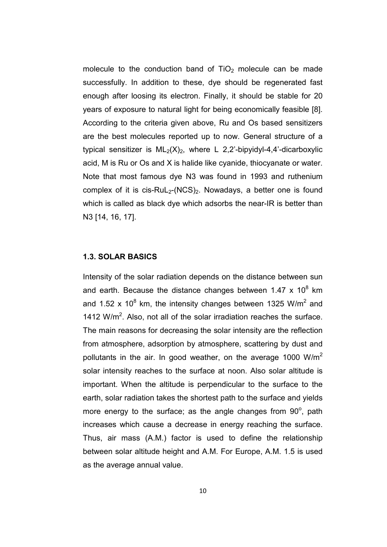molecule to the conduction band of  $TiO<sub>2</sub>$  molecule can be made successfully. In addition to these, dye should be regenerated fast enough after loosing its electron. Finally, it should be stable for 20 years of exposure to natural light for being economically feasible [8]. According to the criteria given above, Ru and Os based sensitizers are the best molecules reported up to now. General structure of a typical sensitizer is  $ML_2(X)_2$ , where L 2,2'-bipyidyl-4,4'-dicarboxylic acid, M is Ru or Os and X is halide like cyanide, thiocyanate or water. Note that most famous dye N3 was found in 1993 and ruthenium complex of it is cis-RuL<sub>2</sub>-(NCS)<sub>2</sub>. Nowadays, a better one is found which is called as black dye which adsorbs the near-IR is better than N3 [14, 16, 17].

### 1.3. SOLAR BASICS

Intensity of the solar radiation depends on the distance between sun and earth. Because the distance changes between 1.47 x 10 $^8$  km and 1.52 x 10<sup>8</sup> km, the intensity changes between 1325 W/m<sup>2</sup> and 1412 W/ $m^2$ . Also, not all of the solar irradiation reaches the surface. The main reasons for decreasing the solar intensity are the reflection from atmosphere, adsorption by atmosphere, scattering by dust and pollutants in the air. In good weather, on the average 1000  $W/m^2$ solar intensity reaches to the surface at noon. Also solar altitude is important. When the altitude is perpendicular to the surface to the earth, solar radiation takes the shortest path to the surface and yields more energy to the surface; as the angle changes from  $90^\circ$ , path increases which cause a decrease in energy reaching the surface. Thus, air mass (A.M.) factor is used to define the relationship between solar altitude height and A.M. For Europe, A.M. 1.5 is used as the average annual value.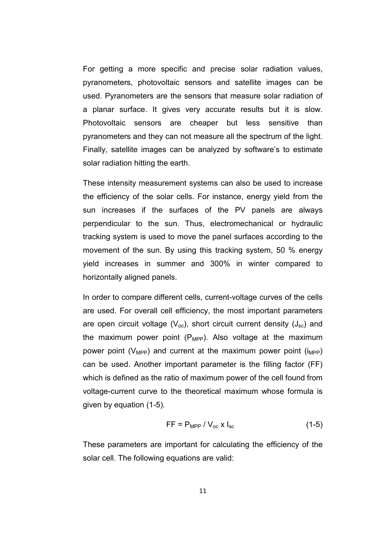For getting a more specific and precise solar radiation values, pyranometers, photovoltaic sensors and satellite images can be used. Pyranometers are the sensors that measure solar radiation of a planar surface. It gives very accurate results but it is slow. Photovoltaic sensors are cheaper but less sensitive than pyranometers and they can not measure all the spectrum of the light. Finally, satellite images can be analyzed by software's to estimate solar radiation hitting the earth.

These intensity measurement systems can also be used to increase the efficiency of the solar cells. For instance, energy yield from the sun increases if the surfaces of the PV panels are always perpendicular to the sun. Thus, electromechanical or hydraulic tracking system is used to move the panel surfaces according to the movement of the sun. By using this tracking system, 50 % energy yield increases in summer and 300% in winter compared to horizontally aligned panels.

In order to compare different cells, current-voltage curves of the cells are used. For overall cell efficiency, the most important parameters are open circuit voltage ( $V_{\text{oc}}$ ), short circuit current density ( $J_{\text{sc}}$ ) and the maximum power point  $(P_{MPP})$ . Also voltage at the maximum power point ( $V_{\text{MPP}}$ ) and current at the maximum power point ( $i_{\text{MPP}}$ ) can be used. Another important parameter is the filling factor (FF) which is defined as the ratio of maximum power of the cell found from voltage-current curve to the theoretical maximum whose formula is given by equation (1-5).

$$
FF = P_{\text{MPP}} / V_{\text{oc}} \times I_{\text{sc}} \tag{1-5}
$$

These parameters are important for calculating the efficiency of the solar cell. The following equations are valid: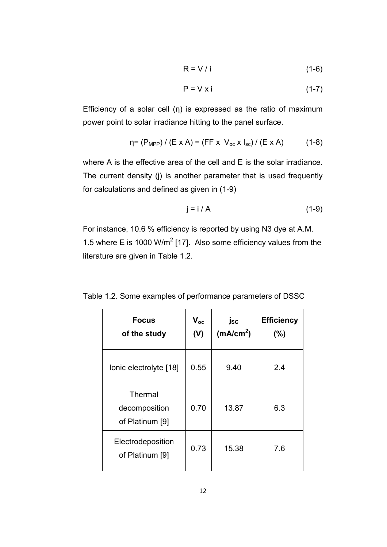$$
R = V / i \tag{1-6}
$$

$$
P = V \times i \tag{1-7}
$$

Efficiency of a solar cell  $(\eta)$  is expressed as the ratio of maximum power point to solar irradiance hitting to the panel surface.

$$
\eta = (P_{\text{MPP}}) / (E \times A) = (FF \times V_{\text{oc}} \times I_{\text{sc}}) / (E \times A)
$$
 (1-8)

where A is the effective area of the cell and E is the solar irradiance. The current density (j) is another parameter that is used frequently for calculations and defined as given in (1-9)

$$
j = i / A \tag{1-9}
$$

For instance, 10.6 % efficiency is reported by using N3 dye at A.M. 1.5 where E is 1000 W/m<sup>2</sup> [17]. Also some efficiency values from the literature are given in Table 1.2.

Table 1.2. Some examples of performance parameters of DSSC

| <b>Focus</b><br>of the study                | $V_{oc}$<br>(V) | jsc<br>(mA/cm <sup>2</sup> ) | <b>Efficiency</b><br>$(\% )$ |
|---------------------------------------------|-----------------|------------------------------|------------------------------|
| Ionic electrolyte [18]                      | 0.55            | 9.40                         | 2.4                          |
| Thermal<br>decomposition<br>of Platinum [9] | 0.70            | 13.87                        | 6.3                          |
| Electrodeposition<br>of Platinum [9]        | 0.73            | 15.38                        | 7.6                          |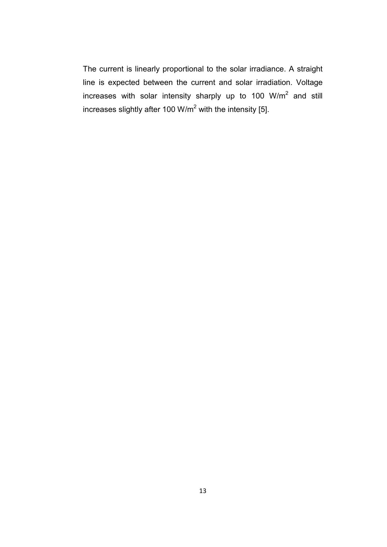The current is linearly proportional to the solar irradiance. A straight line is expected between the current and solar irradiation. Voltage increases with solar intensity sharply up to 100 W/m<sup>2</sup> and still increases slightly after 100 W/m<sup>2</sup> with the intensity [5].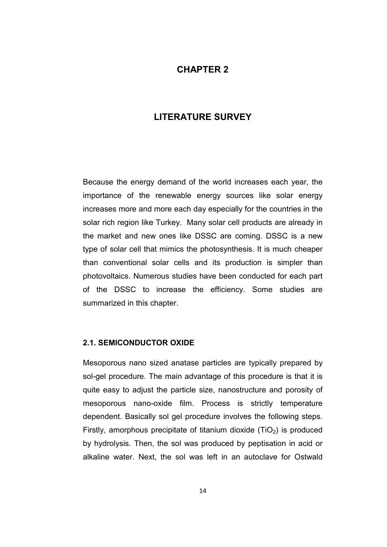### CHAPTER 2

## LITERATURE SURVEY

Because the energy demand of the world increases each year, the importance of the renewable energy sources like solar energy increases more and more each day especially for the countries in the solar rich region like Turkey. Many solar cell products are already in the market and new ones like DSSC are coming. DSSC is a new type of solar cell that mimics the photosynthesis. It is much cheaper than conventional solar cells and its production is simpler than photovoltaics. Numerous studies have been conducted for each part of the DSSC to increase the efficiency. Some studies are summarized in this chapter.

#### 2.1. SEMICONDUCTOR OXIDE

Mesoporous nano sized anatase particles are typically prepared by sol-gel procedure. The main advantage of this procedure is that it is quite easy to adjust the particle size, nanostructure and porosity of mesoporous nano-oxide film. Process is strictly temperature dependent. Basically sol gel procedure involves the following steps. Firstly, amorphous precipitate of titanium dioxide  $(TiO<sub>2</sub>)$  is produced by hydrolysis. Then, the sol was produced by peptisation in acid or alkaline water. Next, the sol was left in an autoclave for Ostwald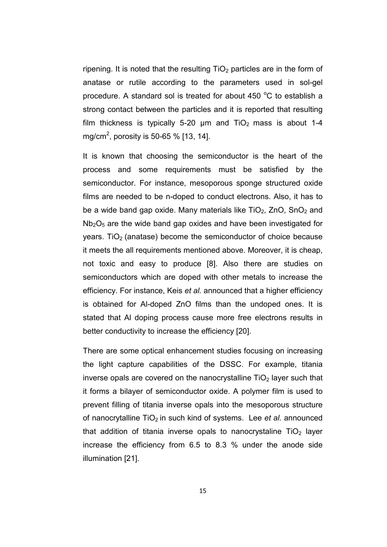ripening. It is noted that the resulting  $TiO<sub>2</sub>$  particles are in the form of anatase or rutile according to the parameters used in sol-gel procedure. A standard sol is treated for about 450 $\degree$ C to establish a strong contact between the particles and it is reported that resulting film thickness is typically 5-20  $\mu$ m and TiO<sub>2</sub> mass is about 1-4 mg/cm<sup>2</sup>, porosity is 50-65 % [13, 14].

It is known that choosing the semiconductor is the heart of the process and some requirements must be satisfied by the semiconductor. For instance, mesoporous sponge structured oxide films are needed to be n-doped to conduct electrons. Also, it has to be a wide band gap oxide. Many materials like  $TiO<sub>2</sub>$ , ZnO, SnO<sub>2</sub> and  $Nb<sub>2</sub>O<sub>5</sub>$  are the wide band gap oxides and have been investigated for years. TiO<sub>2</sub> (anatase) become the semiconductor of choice because it meets the all requirements mentioned above. Moreover, it is cheap, not toxic and easy to produce [8]. Also there are studies on semiconductors which are doped with other metals to increase the efficiency. For instance, Keis et al. announced that a higher efficiency is obtained for Al-doped ZnO films than the undoped ones. It is stated that Al doping process cause more free electrons results in better conductivity to increase the efficiency [20].

There are some optical enhancement studies focusing on increasing the light capture capabilities of the DSSC. For example, titania inverse opals are covered on the nanocrystalline  $TiO<sub>2</sub>$  layer such that it forms a bilayer of semiconductor oxide. A polymer film is used to prevent filling of titania inverse opals into the mesoporous structure of nanocrytalline  $TiO<sub>2</sub>$  in such kind of systems. Lee et al. announced that addition of titania inverse opals to nanocrystaline  $TiO<sub>2</sub>$  layer increase the efficiency from 6.5 to 8.3 % under the anode side illumination [21].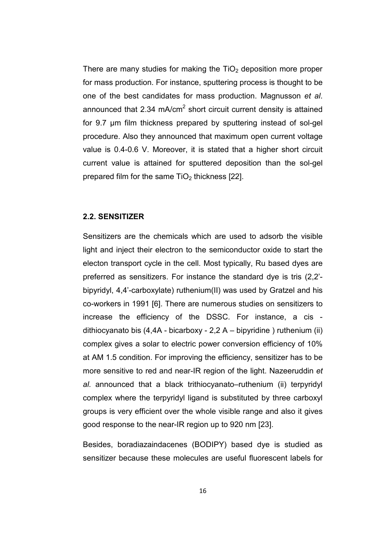There are many studies for making the  $TiO<sub>2</sub>$  deposition more proper for mass production. For instance, sputtering process is thought to be one of the best candidates for mass production. Magnusson et al. announced that 2.34 mA/cm<sup>2</sup> short circuit current density is attained for 9.7 µm film thickness prepared by sputtering instead of sol-gel procedure. Also they announced that maximum open current voltage value is 0.4-0.6 V. Moreover, it is stated that a higher short circuit current value is attained for sputtered deposition than the sol-gel prepared film for the same  $TiO<sub>2</sub>$  thickness [22].

### 2.2. SENSITIZER

Sensitizers are the chemicals which are used to adsorb the visible light and inject their electron to the semiconductor oxide to start the electon transport cycle in the cell. Most typically, Ru based dyes are preferred as sensitizers. For instance the standard dye is tris (2,2' bipyridyl, 4,4'-carboxylate) ruthenium(II) was used by Gratzel and his co-workers in 1991 [6]. There are numerous studies on sensitizers to increase the efficiency of the DSSC. For instance, a cis dithiocyanato bis (4,4A - bicarboxy - 2,2 A – bipyridine ) ruthenium (ii) complex gives a solar to electric power conversion efficiency of 10% at AM 1.5 condition. For improving the efficiency, sensitizer has to be more sensitive to red and near-IR region of the light. Nazeeruddin et al. announced that a black trithiocyanato–ruthenium (ii) terpyridyl complex where the terpyridyl ligand is substituted by three carboxyl groups is very efficient over the whole visible range and also it gives good response to the near-IR region up to 920 nm [23].

Besides, boradiazaindacenes (BODIPY) based dye is studied as sensitizer because these molecules are useful fluorescent labels for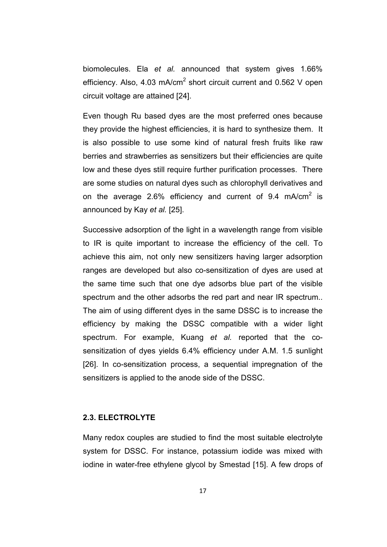biomolecules. Ela et al. announced that system gives 1.66% efficiency. Also, 4.03 mA/cm<sup>2</sup> short circuit current and 0.562 V open circuit voltage are attained [24].

Even though Ru based dyes are the most preferred ones because they provide the highest efficiencies, it is hard to synthesize them. It is also possible to use some kind of natural fresh fruits like raw berries and strawberries as sensitizers but their efficiencies are quite low and these dyes still require further purification processes. There are some studies on natural dyes such as chlorophyll derivatives and on the average 2.6% efficiency and current of 9.4 mA/cm<sup>2</sup> is announced by Kay et al. [25].

Successive adsorption of the light in a wavelength range from visible to IR is quite important to increase the efficiency of the cell. To achieve this aim, not only new sensitizers having larger adsorption ranges are developed but also co-sensitization of dyes are used at the same time such that one dye adsorbs blue part of the visible spectrum and the other adsorbs the red part and near IR spectrum.. The aim of using different dyes in the same DSSC is to increase the efficiency by making the DSSC compatible with a wider light spectrum. For example, Kuang et al. reported that the cosensitization of dyes yields 6.4% efficiency under A.M. 1.5 sunlight [26]. In co-sensitization process, a sequential impregnation of the sensitizers is applied to the anode side of the DSSC.

### 2.3. ELECTROLYTE

Many redox couples are studied to find the most suitable electrolyte system for DSSC. For instance, potassium iodide was mixed with iodine in water-free ethylene glycol by Smestad [15]. A few drops of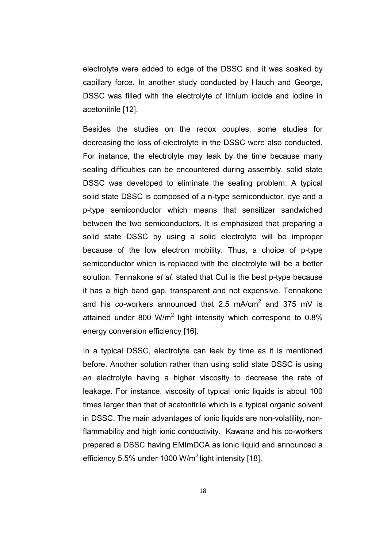electrolyte were added to edge of the DSSC and it was soaked by capillary force. In another study conducted by Hauch and George, DSSC was filled with the electrolyte of lithium iodide and iodine in acetonitrile [12].

Besides the studies on the redox couples, some studies for decreasing the loss of electrolyte in the DSSC were also conducted. For instance, the electrolyte may leak by the time because many sealing difficulties can be encountered during assembly, solid state DSSC was developed to eliminate the sealing problem. A typical solid state DSSC is composed of a n-type semiconductor, dye and a p-type semiconductor which means that sensitizer sandwiched between the two semiconductors. It is emphasized that preparing a solid state DSSC by using a solid electrolyte will be improper because of the low electron mobility. Thus, a choice of p-type semiconductor which is replaced with the electrolyte will be a better solution. Tennakone et al. stated that CuI is the best p-type because it has a high band gap, transparent and not expensive. Tennakone and his co-workers announced that 2.5 mA/cm<sup>2</sup> and 375 mV is attained under 800 W/m<sup>2</sup> light intensity which correspond to 0.8% energy conversion efficiency [16].

In a typical DSSC, electrolyte can leak by time as it is mentioned before. Another solution rather than using solid state DSSC is using an electrolyte having a higher viscosity to decrease the rate of leakage. For instance, viscosity of typical ionic liquids is about 100 times larger than that of acetonitrile which is a typical organic solvent in DSSC. The main advantages of ionic liquids are non-volatility, nonflammability and high ionic conductivity. Kawana and his co-workers prepared a DSSC having EMImDCA as ionic liquid and announced a efficiency 5.5% under 1000 W/ $m^2$  light intensity [18].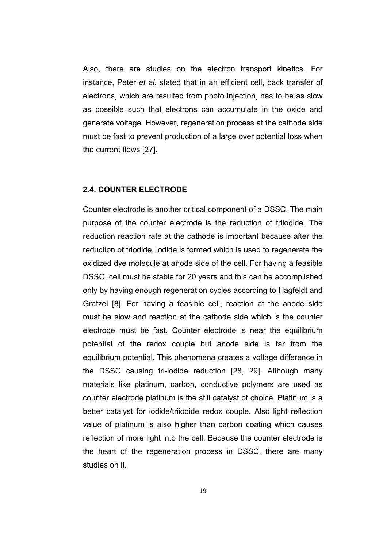Also, there are studies on the electron transport kinetics. For instance, Peter et al. stated that in an efficient cell, back transfer of electrons, which are resulted from photo injection, has to be as slow as possible such that electrons can accumulate in the oxide and generate voltage. However, regeneration process at the cathode side must be fast to prevent production of a large over potential loss when the current flows [27].

### 2.4. COUNTER ELECTRODE

Counter electrode is another critical component of a DSSC. The main purpose of the counter electrode is the reduction of triiodide. The reduction reaction rate at the cathode is important because after the reduction of triodide, iodide is formed which is used to regenerate the oxidized dye molecule at anode side of the cell. For having a feasible DSSC, cell must be stable for 20 years and this can be accomplished only by having enough regeneration cycles according to Hagfeldt and Gratzel [8]. For having a feasible cell, reaction at the anode side must be slow and reaction at the cathode side which is the counter electrode must be fast. Counter electrode is near the equilibrium potential of the redox couple but anode side is far from the equilibrium potential. This phenomena creates a voltage difference in the DSSC causing tri-iodide reduction [28, 29]. Although many materials like platinum, carbon, conductive polymers are used as counter electrode platinum is the still catalyst of choice. Platinum is a better catalyst for iodide/triiodide redox couple. Also light reflection value of platinum is also higher than carbon coating which causes reflection of more light into the cell. Because the counter electrode is the heart of the regeneration process in DSSC, there are many studies on it.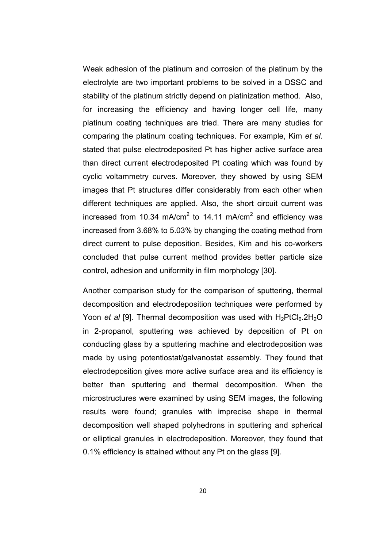Weak adhesion of the platinum and corrosion of the platinum by the electrolyte are two important problems to be solved in a DSSC and stability of the platinum strictly depend on platinization method. Also, for increasing the efficiency and having longer cell life, many platinum coating techniques are tried. There are many studies for comparing the platinum coating techniques. For example, Kim et al. stated that pulse electrodeposited Pt has higher active surface area than direct current electrodeposited Pt coating which was found by cyclic voltammetry curves. Moreover, they showed by using SEM images that Pt structures differ considerably from each other when different techniques are applied. Also, the short circuit current was increased from 10.34 mA/cm<sup>2</sup> to 14.11 mA/cm<sup>2</sup> and efficiency was increased from 3.68% to 5.03% by changing the coating method from direct current to pulse deposition. Besides, Kim and his co-workers concluded that pulse current method provides better particle size control, adhesion and uniformity in film morphology [30].

Another comparison study for the comparison of sputtering, thermal decomposition and electrodeposition techniques were performed by Yoon et al [9]. Thermal decomposition was used with  $H_2PtCl_6.2H_2O$ in 2-propanol, sputtering was achieved by deposition of Pt on conducting glass by a sputtering machine and electrodeposition was made by using potentiostat/galvanostat assembly. They found that electrodeposition gives more active surface area and its efficiency is better than sputtering and thermal decomposition. When the microstructures were examined by using SEM images, the following results were found; granules with imprecise shape in thermal decomposition well shaped polyhedrons in sputtering and spherical or elliptical granules in electrodeposition. Moreover, they found that 0.1% efficiency is attained without any Pt on the glass [9].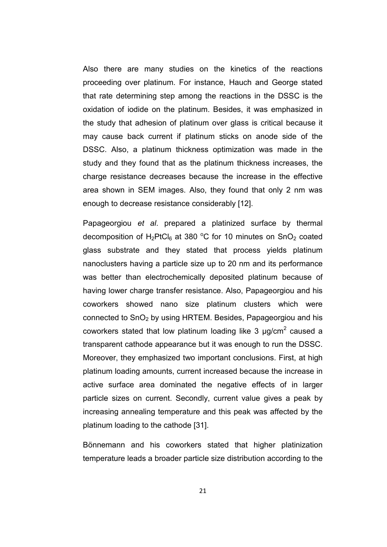Also there are many studies on the kinetics of the reactions proceeding over platinum. For instance, Hauch and George stated that rate determining step among the reactions in the DSSC is the oxidation of iodide on the platinum. Besides, it was emphasized in the study that adhesion of platinum over glass is critical because it may cause back current if platinum sticks on anode side of the DSSC. Also, a platinum thickness optimization was made in the study and they found that as the platinum thickness increases, the charge resistance decreases because the increase in the effective area shown in SEM images. Also, they found that only 2 nm was enough to decrease resistance considerably [12].

Papageorgiou et al. prepared a platinized surface by thermal decomposition of  $H_2PtCl_6$  at 380 °C for 10 minutes on SnO<sub>2</sub> coated glass substrate and they stated that process yields platinum nanoclusters having a particle size up to 20 nm and its performance was better than electrochemically deposited platinum because of having lower charge transfer resistance. Also, Papageorgiou and his coworkers showed nano size platinum clusters which were connected to  $SnO<sub>2</sub>$  by using HRTEM. Besides, Papageorgiou and his coworkers stated that low platinum loading like 3  $\mu$ g/cm<sup>2</sup> caused a transparent cathode appearance but it was enough to run the DSSC. Moreover, they emphasized two important conclusions. First, at high platinum loading amounts, current increased because the increase in active surface area dominated the negative effects of in larger particle sizes on current. Secondly, current value gives a peak by increasing annealing temperature and this peak was affected by the platinum loading to the cathode [31].

Bönnemann and his coworkers stated that higher platinization temperature leads a broader particle size distribution according to the

21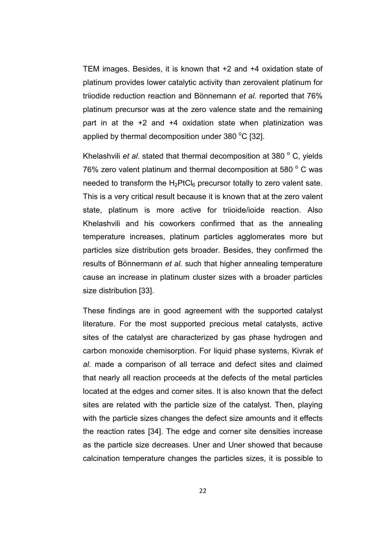TEM images. Besides, it is known that +2 and +4 oxidation state of platinum provides lower catalytic activity than zerovalent platinum for triiodide reduction reaction and Bönnemann et al. reported that 76% platinum precursor was at the zero valence state and the remaining part in at the +2 and +4 oxidation state when platinization was applied by thermal decomposition under 380  $^{\circ}$ C [32].

Khelashvili et al. stated that thermal decomposition at 380 $^{\circ}$  C, yields 76% zero valent platinum and thermal decomposition at 580 $^{\circ}$  C was needed to transform the  $H_2PtCl_6$  precursor totally to zero valent sate. This is a very critical result because it is known that at the zero valent state, platinum is more active for triioide/ioide reaction. Also Khelashvili and his coworkers confirmed that as the annealing temperature increases, platinum particles agglomerates more but particles size distribution gets broader. Besides, they confirmed the results of Bönnermann et al. such that higher annealing temperature cause an increase in platinum cluster sizes with a broader particles size distribution [33].

These findings are in good agreement with the supported catalyst literature. For the most supported precious metal catalysts, active sites of the catalyst are characterized by gas phase hydrogen and carbon monoxide chemisorption. For liquid phase systems, Kivrak et al. made a comparison of all terrace and defect sites and claimed that nearly all reaction proceeds at the defects of the metal particles located at the edges and corner sites. It is also known that the defect sites are related with the particle size of the catalyst. Then, playing with the particle sizes changes the defect size amounts and it effects the reaction rates [34]. The edge and corner site densities increase as the particle size decreases. Uner and Uner showed that because calcination temperature changes the particles sizes, it is possible to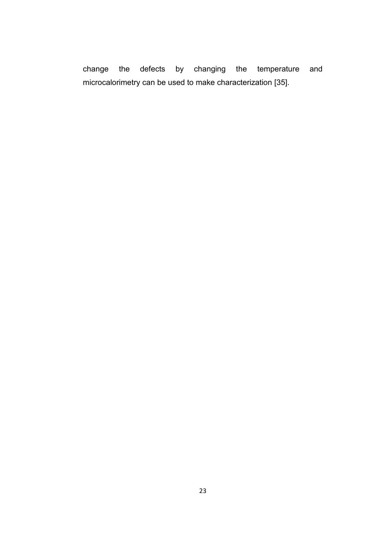change the defects by changing the temperature and microcalorimetry can be used to make characterization [35].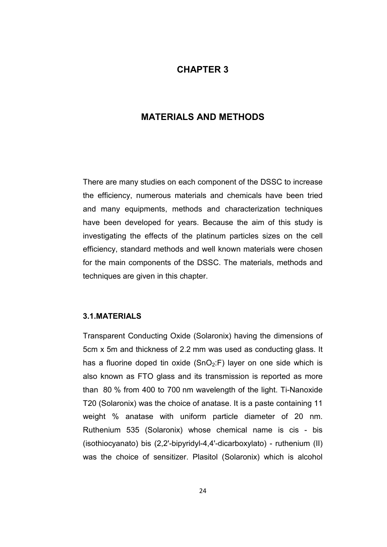# CHAPTER 3

## MATERIALS AND METHODS

There are many studies on each component of the DSSC to increase the efficiency, numerous materials and chemicals have been tried and many equipments, methods and characterization techniques have been developed for years. Because the aim of this study is investigating the effects of the platinum particles sizes on the cell efficiency, standard methods and well known materials were chosen for the main components of the DSSC. The materials, methods and techniques are given in this chapter.

#### 3.1.MATERIALS

Transparent Conducting Oxide (Solaronix) having the dimensions of 5cm x 5m and thickness of 2.2 mm was used as conducting glass. It has a fluorine doped tin oxide  $(SnO<sub>2</sub>:F)$  layer on one side which is also known as FTO glass and its transmission is reported as more than 80 % from 400 to 700 nm wavelength of the light. Ti-Nanoxide T20 (Solaronix) was the choice of anatase. It is a paste containing 11 weight % anatase with uniform particle diameter of 20 nm. Ruthenium 535 (Solaronix) whose chemical name is cis - bis (isothiocyanato) bis (2,2'-bipyridyl-4,4'-dicarboxylato) - ruthenium (II) was the choice of sensitizer. Plasitol (Solaronix) which is alcohol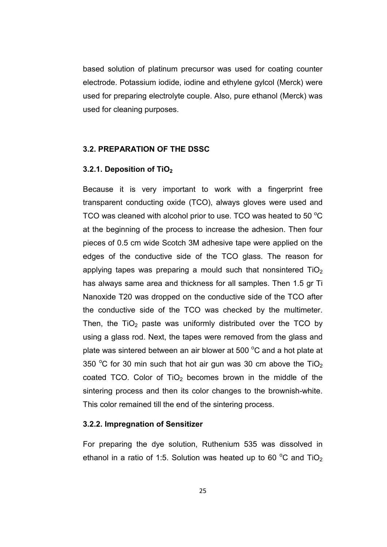based solution of platinum precursor was used for coating counter electrode. Potassium iodide, iodine and ethylene gylcol (Merck) were used for preparing electrolyte couple. Also, pure ethanol (Merck) was used for cleaning purposes.

### 3.2. PREPARATION OF THE DSSC

### 3.2.1. Deposition of TiO<sub>2</sub>

Because it is very important to work with a fingerprint free transparent conducting oxide (TCO), always gloves were used and TCO was cleaned with alcohol prior to use. TCO was heated to 50  $\mathrm{^{\circ}C}$ at the beginning of the process to increase the adhesion. Then four pieces of 0.5 cm wide Scotch 3M adhesive tape were applied on the edges of the conductive side of the TCO glass. The reason for applying tapes was preparing a mould such that nonsintered  $TiO<sub>2</sub>$ has always same area and thickness for all samples. Then 1.5 gr Ti Nanoxide T20 was dropped on the conductive side of the TCO after the conductive side of the TCO was checked by the multimeter. Then, the  $TiO<sub>2</sub>$  paste was uniformly distributed over the TCO by using a glass rod. Next, the tapes were removed from the glass and plate was sintered between an air blower at 500  $^{\circ}$ C and a hot plate at 350  $\degree$ C for 30 min such that hot air gun was 30 cm above the TiO<sub>2</sub> coated TCO. Color of  $TiO<sub>2</sub>$  becomes brown in the middle of the sintering process and then its color changes to the brownish-white. This color remained till the end of the sintering process.

#### 3.2.2. Impregnation of Sensitizer

For preparing the dye solution, Ruthenium 535 was dissolved in ethanol in a ratio of 1:5. Solution was heated up to 60  $^{\circ}$ C and TiO<sub>2</sub>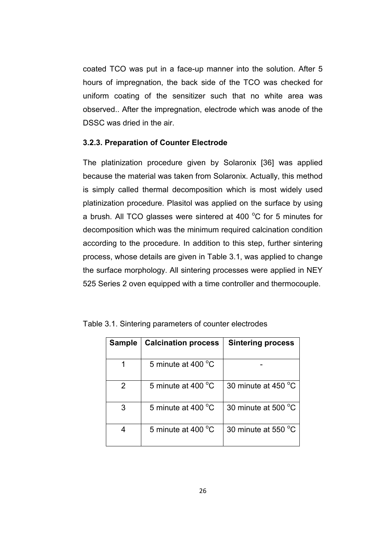coated TCO was put in a face-up manner into the solution. After 5 hours of impregnation, the back side of the TCO was checked for uniform coating of the sensitizer such that no white area was observed.. After the impregnation, electrode which was anode of the DSSC was dried in the air.

#### 3.2.3. Preparation of Counter Electrode

The platinization procedure given by Solaronix [36] was applied because the material was taken from Solaronix. Actually, this method is simply called thermal decomposition which is most widely used platinization procedure. Plasitol was applied on the surface by using a brush. All TCO glasses were sintered at 400  $^{\circ}$ C for 5 minutes for decomposition which was the minimum required calcination condition according to the procedure. In addition to this step, further sintering process, whose details are given in Table 3.1, was applied to change the surface morphology. All sintering processes were applied in NEY 525 Series 2 oven equipped with a time controller and thermocouple.

| <b>Sample</b> | <b>Calcination process</b> | <b>Sintering process</b> |
|---------------|----------------------------|--------------------------|
|               | 5 minute at 400 °C         |                          |
| 2             | 5 minute at 400 °C         | 30 minute at 450 °C      |
| 3             | 5 minute at 400 °C         | 30 minute at 500 °C      |
|               | 5 minute at 400 °C         | 30 minute at 550 °C      |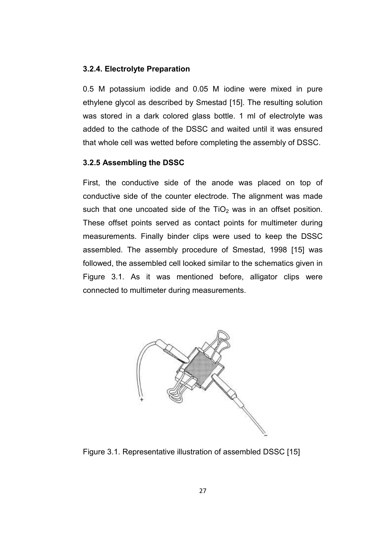### 3.2.4. Electrolyte Preparation

0.5 M potassium iodide and 0.05 M iodine were mixed in pure ethylene glycol as described by Smestad [15]. The resulting solution was stored in a dark colored glass bottle. 1 ml of electrolyte was added to the cathode of the DSSC and waited until it was ensured that whole cell was wetted before completing the assembly of DSSC.

### 3.2.5 Assembling the DSSC

First, the conductive side of the anode was placed on top of conductive side of the counter electrode. The alignment was made such that one uncoated side of the  $TiO<sub>2</sub>$  was in an offset position. These offset points served as contact points for multimeter during measurements. Finally binder clips were used to keep the DSSC assembled. The assembly procedure of Smestad, 1998 [15] was followed, the assembled cell looked similar to the schematics given in Figure 3.1. As it was mentioned before, alligator clips were connected to multimeter during measurements.



Figure 3.1. Representative illustration of assembled DSSC [15]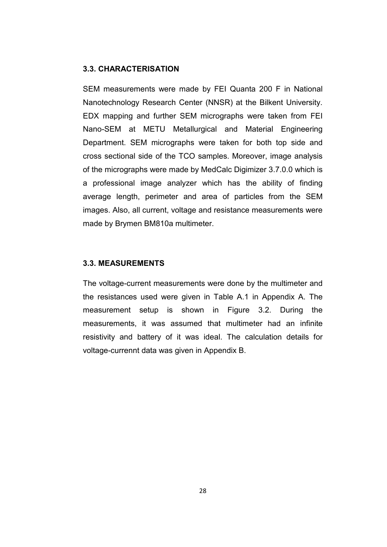## 3.3. CHARACTERISATION

SEM measurements were made by FEI Quanta 200 F in National Nanotechnology Research Center (NNSR) at the Bilkent University. EDX mapping and further SEM micrographs were taken from FEI Nano-SEM at METU Metallurgical and Material Engineering Department. SEM micrographs were taken for both top side and cross sectional side of the TCO samples. Moreover, image analysis of the micrographs were made by MedCalc Digimizer 3.7.0.0 which is a professional image analyzer which has the ability of finding average length, perimeter and area of particles from the SEM images. Also, all current, voltage and resistance measurements were made by Brymen BM810a multimeter.

### 3.3. MEASUREMENTS

The voltage-current measurements were done by the multimeter and the resistances used were given in Table A.1 in Appendix A. The measurement setup is shown in Figure 3.2. During the measurements, it was assumed that multimeter had an infinite resistivity and battery of it was ideal. The calculation details for voltage-currennt data was given in Appendix B.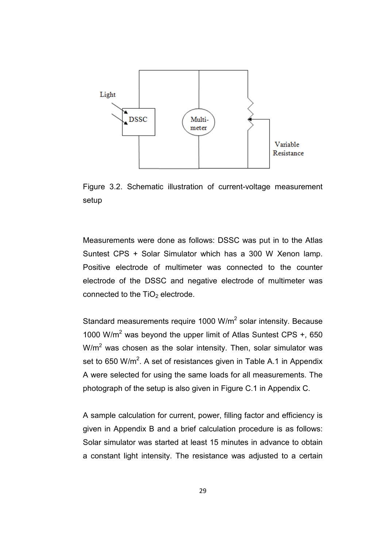

Figure 3.2. Schematic illustration of current-voltage measurement setup

Measurements were done as follows: DSSC was put in to the Atlas Suntest CPS + Solar Simulator which has a 300 W Xenon lamp. Positive electrode of multimeter was connected to the counter electrode of the DSSC and negative electrode of multimeter was connected to the  $TiO<sub>2</sub>$  electrode.

Standard measurements require 1000 W/m<sup>2</sup> solar intensity. Because 1000 W/ $m^2$  was beyond the upper limit of Atlas Suntest CPS  $+$ , 650  $W/m<sup>2</sup>$  was chosen as the solar intensity. Then, solar simulator was set to 650 W/m<sup>2</sup>. A set of resistances given in Table A.1 in Appendix A were selected for using the same loads for all measurements. The photograph of the setup is also given in Figure C.1 in Appendix C.

A sample calculation for current, power, filling factor and efficiency is given in Appendix B and a brief calculation procedure is as follows: Solar simulator was started at least 15 minutes in advance to obtain a constant light intensity. The resistance was adjusted to a certain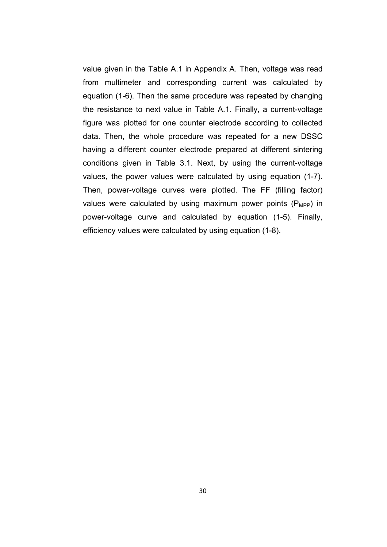value given in the Table A.1 in Appendix A. Then, voltage was read from multimeter and corresponding current was calculated by equation (1-6). Then the same procedure was repeated by changing the resistance to next value in Table A.1. Finally, a current-voltage figure was plotted for one counter electrode according to collected data. Then, the whole procedure was repeated for a new DSSC having a different counter electrode prepared at different sintering conditions given in Table 3.1. Next, by using the current-voltage values, the power values were calculated by using equation (1-7). Then, power-voltage curves were plotted. The FF (filling factor) values were calculated by using maximum power points  $(P_{MPP})$  in power-voltage curve and calculated by equation (1-5). Finally, efficiency values were calculated by using equation (1-8).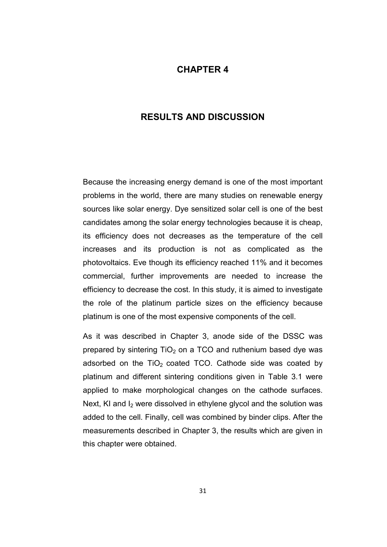## CHAPTER 4

# RESULTS AND DISCUSSION

Because the increasing energy demand is one of the most important problems in the world, there are many studies on renewable energy sources like solar energy. Dye sensitized solar cell is one of the best candidates among the solar energy technologies because it is cheap, its efficiency does not decreases as the temperature of the cell increases and its production is not as complicated as the photovoltaics. Eve though its efficiency reached 11% and it becomes commercial, further improvements are needed to increase the efficiency to decrease the cost. In this study, it is aimed to investigate the role of the platinum particle sizes on the efficiency because platinum is one of the most expensive components of the cell.

As it was described in Chapter 3, anode side of the DSSC was prepared by sintering  $TiO<sub>2</sub>$  on a TCO and ruthenium based dye was adsorbed on the  $TiO<sub>2</sub>$  coated TCO. Cathode side was coated by platinum and different sintering conditions given in Table 3.1 were applied to make morphological changes on the cathode surfaces. Next, KI and  $I_2$  were dissolved in ethylene glycol and the solution was added to the cell. Finally, cell was combined by binder clips. After the measurements described in Chapter 3, the results which are given in this chapter were obtained.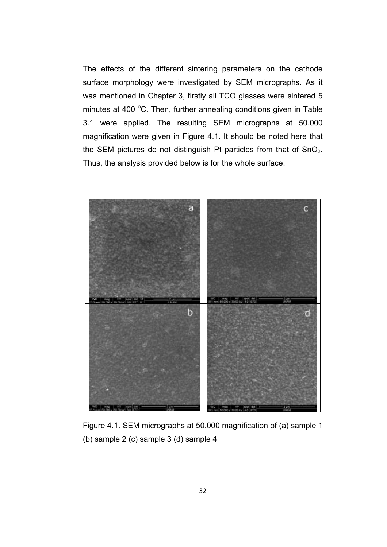The effects of the different sintering parameters on the cathode surface morphology were investigated by SEM micrographs. As it was mentioned in Chapter 3, firstly all TCO glasses were sintered 5 minutes at 400 °C. Then, further annealing conditions given in Table 3.1 were applied. The resulting SEM micrographs at 50.000 magnification were given in Figure 4.1. It should be noted here that the SEM pictures do not distinguish Pt particles from that of  $SnO<sub>2</sub>$ . Thus, the analysis provided below is for the whole surface.



Figure 4.1. SEM micrographs at 50.000 magnification of (a) sample 1 (b) sample 2 (c) sample 3 (d) sample 4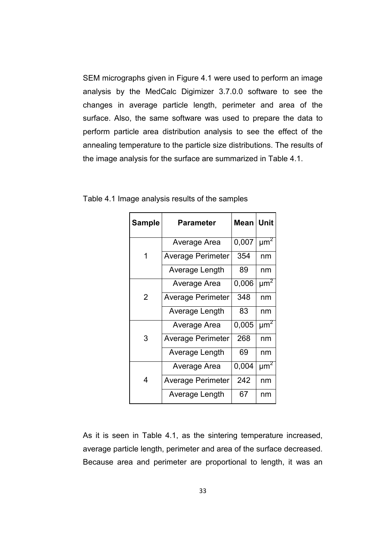SEM micrographs given in Figure 4.1 were used to perform an image analysis by the MedCalc Digimizer 3.7.0.0 software to see the changes in average particle length, perimeter and area of the surface. Also, the same software was used to prepare the data to perform particle area distribution analysis to see the effect of the annealing temperature to the particle size distributions. The results of the image analysis for the surface are summarized in Table 4.1.

| <b>Sample</b> | <b>Parameter</b>         | Mean  | Unit                 |
|---------------|--------------------------|-------|----------------------|
|               | Average Area             | 0,007 | $\mu$ m <sup>2</sup> |
| 1             | <b>Average Perimeter</b> | 354   | nm                   |
|               | Average Length           | 89    | nm                   |
|               | Average Area             | 0,006 | $\mu$ m <sup>2</sup> |
| 2             | <b>Average Perimeter</b> | 348   | nm                   |
|               | Average Length           | 83    | nm                   |
|               | Average Area             | 0,005 | $\mu$ m <sup>2</sup> |
| 3             | <b>Average Perimeter</b> | 268   | nm                   |
|               | Average Length           | 69    | nm                   |
|               | Average Area             | 0,004 | $\mu$ m <sup>2</sup> |
| 4             | <b>Average Perimeter</b> | 242   | nm                   |
|               | Average Length           | 67    | nm                   |

Table 4.1 Image analysis results of the samples

As it is seen in Table 4.1, as the sintering temperature increased, average particle length, perimeter and area of the surface decreased. Because area and perimeter are proportional to length, it was an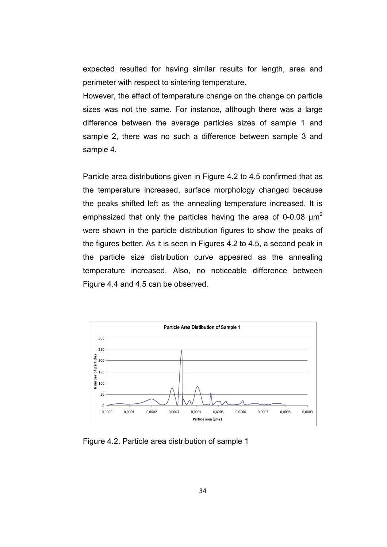expected resulted for having similar results for length, area and perimeter with respect to sintering temperature.

However, the effect of temperature change on the change on particle sizes was not the same. For instance, although there was a large difference between the average particles sizes of sample 1 and sample 2, there was no such a difference between sample 3 and sample 4.

Particle area distributions given in Figure 4.2 to 4.5 confirmed that as the temperature increased, surface morphology changed because the peaks shifted left as the annealing temperature increased. It is emphasized that only the particles having the area of 0-0.08  $\mu$ m<sup>2</sup> were shown in the particle distribution figures to show the peaks of the figures better. As it is seen in Figures 4.2 to 4.5, a second peak in the particle size distribution curve appeared as the annealing temperature increased. Also, no noticeable difference between Figure 4.4 and 4.5 can be observed.



Figure 4.2. Particle area distribution of sample 1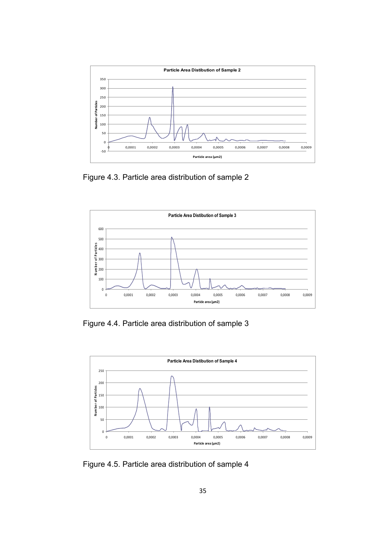

Figure 4.3. Particle area distribution of sample 2



Figure 4.4. Particle area distribution of sample 3



Figure 4.5. Particle area distribution of sample 4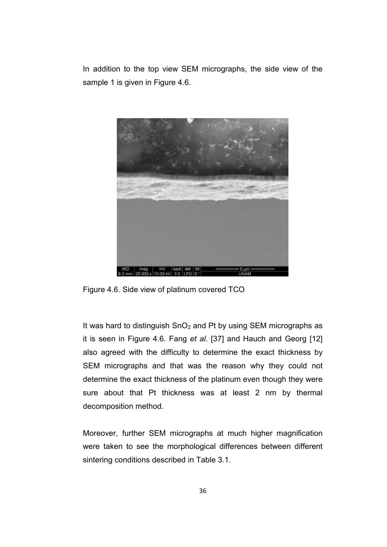In addition to the top view SEM micrographs, the side view of the sample 1 is given in Figure 4.6.



Figure 4.6. Side view of platinum covered TCO

It was hard to distinguish  $SnO<sub>2</sub>$  and Pt by using SEM micrographs as it is seen in Figure 4.6. Fang et al. [37] and Hauch and Georg [12] also agreed with the difficulty to determine the exact thickness by SEM micrographs and that was the reason why they could not determine the exact thickness of the platinum even though they were sure about that Pt thickness was at least 2 nm by thermal decomposition method.

Moreover, further SEM micrographs at much higher magnification were taken to see the morphological differences between different sintering conditions described in Table 3.1.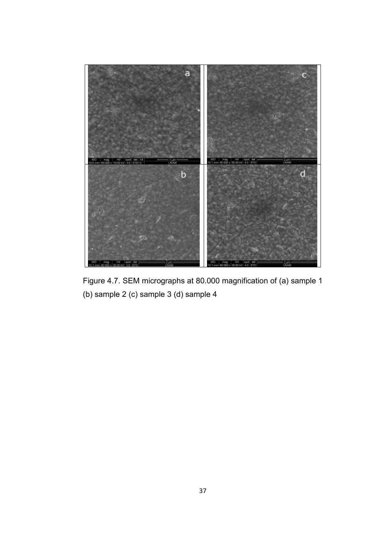

Figure 4.7. SEM micrographs at 80.000 magnification of (a) sample 1 (b) sample 2 (c) sample 3 (d) sample 4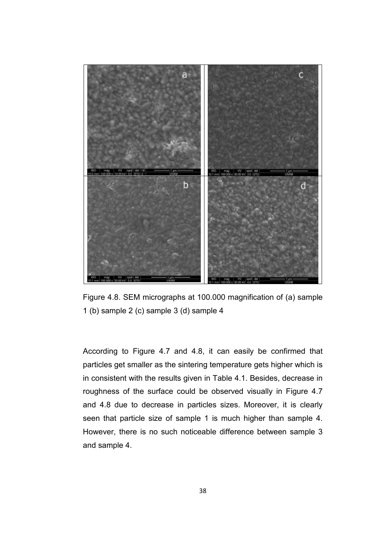

Figure 4.8. SEM micrographs at 100.000 magnification of (a) sample 1 (b) sample 2 (c) sample 3 (d) sample 4

According to Figure 4.7 and 4.8, it can easily be confirmed that particles get smaller as the sintering temperature gets higher which is in consistent with the results given in Table 4.1. Besides, decrease in roughness of the surface could be observed visually in Figure 4.7 and 4.8 due to decrease in particles sizes. Moreover, it is clearly seen that particle size of sample 1 is much higher than sample 4. However, there is no such noticeable difference between sample 3 and sample 4.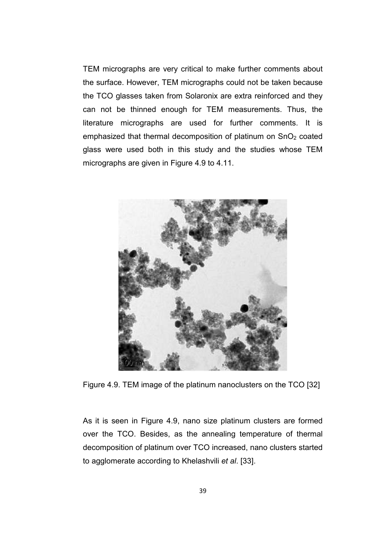TEM micrographs are very critical to make further comments about the surface. However, TEM micrographs could not be taken because the TCO glasses taken from Solaronix are extra reinforced and they can not be thinned enough for TEM measurements. Thus, the literature micrographs are used for further comments. It is emphasized that thermal decomposition of platinum on  $SnO<sub>2</sub>$  coated glass were used both in this study and the studies whose TEM micrographs are given in Figure 4.9 to 4.11.



Figure 4.9. TEM image of the platinum nanoclusters on the TCO [32]

As it is seen in Figure 4.9, nano size platinum clusters are formed over the TCO. Besides, as the annealing temperature of thermal decomposition of platinum over TCO increased, nano clusters started to agglomerate according to Khelashvili et al. [33].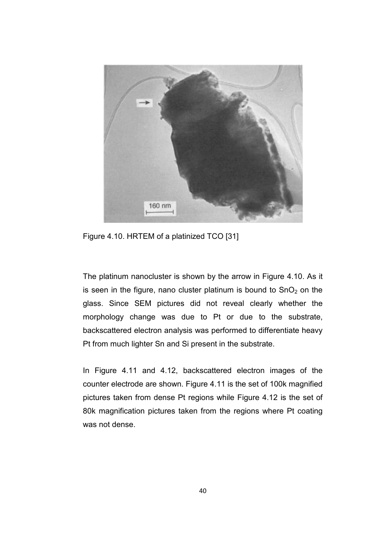

Figure 4.10. HRTEM of a platinized TCO [31]

The platinum nanocluster is shown by the arrow in Figure 4.10. As it is seen in the figure, nano cluster platinum is bound to  $SnO<sub>2</sub>$  on the glass. Since SEM pictures did not reveal clearly whether the morphology change was due to Pt or due to the substrate, backscattered electron analysis was performed to differentiate heavy Pt from much lighter Sn and Si present in the substrate.

In Figure 4.11 and 4.12, backscattered electron images of the counter electrode are shown. Figure 4.11 is the set of 100k magnified pictures taken from dense Pt regions while Figure 4.12 is the set of 80k magnification pictures taken from the regions where Pt coating was not dense.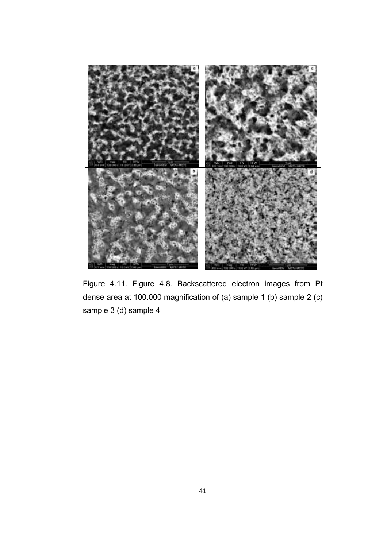

Figure 4.11. Figure 4.8. Backscattered electron images from Pt dense area at 100.000 magnification of (a) sample 1 (b) sample 2 (c) sample 3 (d) sample 4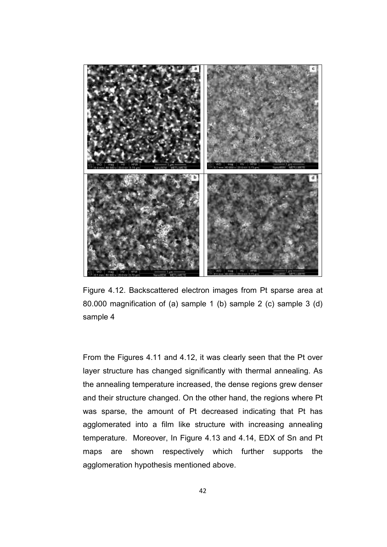

Figure 4.12. Backscattered electron images from Pt sparse area at 80.000 magnification of (a) sample 1 (b) sample 2 (c) sample 3 (d) sample 4

From the Figures 4.11 and 4.12, it was clearly seen that the Pt over layer structure has changed significantly with thermal annealing. As the annealing temperature increased, the dense regions grew denser and their structure changed. On the other hand, the regions where Pt was sparse, the amount of Pt decreased indicating that Pt has agglomerated into a film like structure with increasing annealing temperature. Moreover, In Figure 4.13 and 4.14, EDX of Sn and Pt maps are shown respectively which further supports the agglomeration hypothesis mentioned above.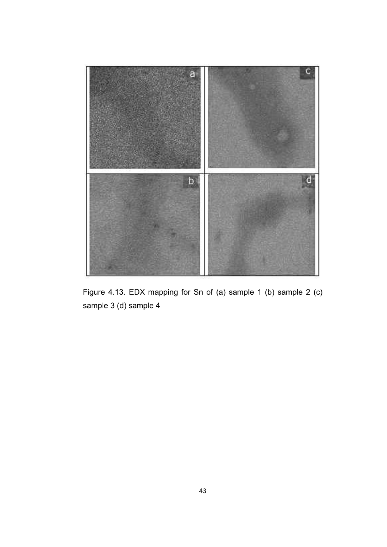

Figure 4.13. EDX mapping for Sn of (a) sample 1 (b) sample 2 (c) sample 3 (d) sample 4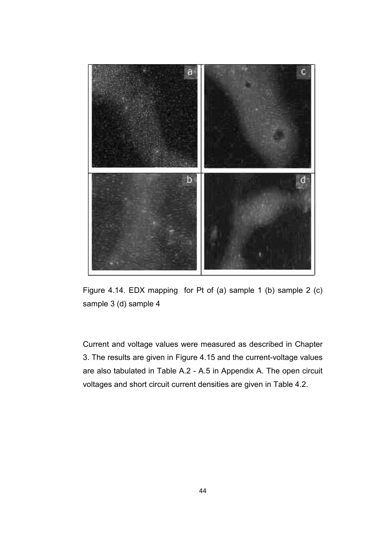

Figure 4.14. EDX mapping for Pt of (a) sample 1 (b) sample 2 (c) sample 3 (d) sample 4

Current and voltage values were measured as described in Chapter 3. The results are given in Figure 4.15 and the current-voltage values are also tabulated in Table A.2 - A.5 in Appendix A. The open circuit voltages and short circuit current densities are given in Table 4.2.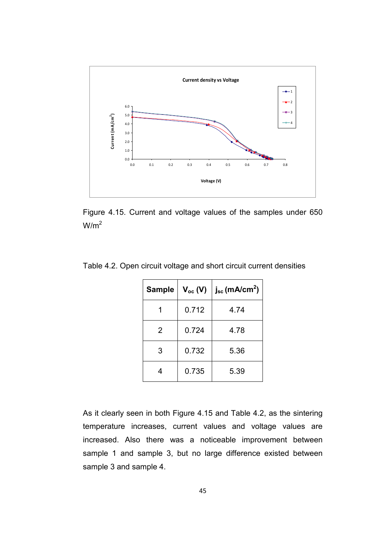

Figure 4.15. Current and voltage values of the samples under 650  $W/m<sup>2</sup>$ 

| <b>Sample</b>  | $V_{oc}$ (V) | $j_{sc}$ (mA/cm <sup>2</sup> ) |  |
|----------------|--------------|--------------------------------|--|
|                | 0.712        | 4.74                           |  |
| $\overline{2}$ | 0.724        | 4.78                           |  |
| 3              | 0.732        | 5.36                           |  |
| 4              | 0.735        | 5.39                           |  |

Table 4.2. Open circuit voltage and short circuit current densities

As it clearly seen in both Figure 4.15 and Table 4.2, as the sintering temperature increases, current values and voltage values are increased. Also there was a noticeable improvement between sample 1 and sample 3, but no large difference existed between sample 3 and sample 4.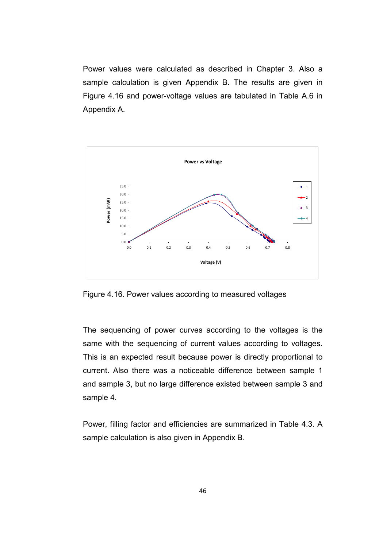Power values were calculated as described in Chapter 3. Also a sample calculation is given Appendix B. The results are given in Figure 4.16 and power-voltage values are tabulated in Table A.6 in Appendix A.



Figure 4.16. Power values according to measured voltages

The sequencing of power curves according to the voltages is the same with the sequencing of current values according to voltages. This is an expected result because power is directly proportional to current. Also there was a noticeable difference between sample 1 and sample 3, but no large difference existed between sample 3 and sample 4.

Power, filling factor and efficiencies are summarized in Table 4.3. A sample calculation is also given in Appendix B.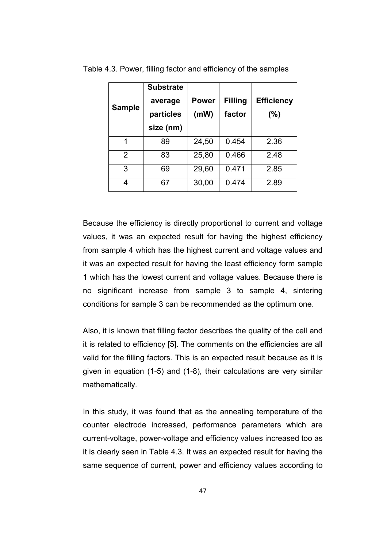| <b>Sample</b>  | <b>Substrate</b><br>average<br>particles<br>size (nm) | <b>Power</b><br>(mW) | <b>Filling</b><br>factor | <b>Efficiency</b><br>$(\%)$ |
|----------------|-------------------------------------------------------|----------------------|--------------------------|-----------------------------|
| 1              | 89                                                    | 24,50                | 0.454                    | 2.36                        |
| $\overline{2}$ | 83                                                    | 25,80                | 0.466                    | 2.48                        |
| 3              | 69                                                    | 29,60                | 0.471                    | 2.85                        |
| 4              | 67                                                    | 30,00                | 0.474                    | 2.89                        |

Table 4.3. Power, filling factor and efficiency of the samples

Because the efficiency is directly proportional to current and voltage values, it was an expected result for having the highest efficiency from sample 4 which has the highest current and voltage values and it was an expected result for having the least efficiency form sample 1 which has the lowest current and voltage values. Because there is no significant increase from sample 3 to sample 4, sintering conditions for sample 3 can be recommended as the optimum one.

Also, it is known that filling factor describes the quality of the cell and it is related to efficiency [5]. The comments on the efficiencies are all valid for the filling factors. This is an expected result because as it is given in equation (1-5) and (1-8), their calculations are very similar mathematically.

In this study, it was found that as the annealing temperature of the counter electrode increased, performance parameters which are current-voltage, power-voltage and efficiency values increased too as it is clearly seen in Table 4.3. It was an expected result for having the same sequence of current, power and efficiency values according to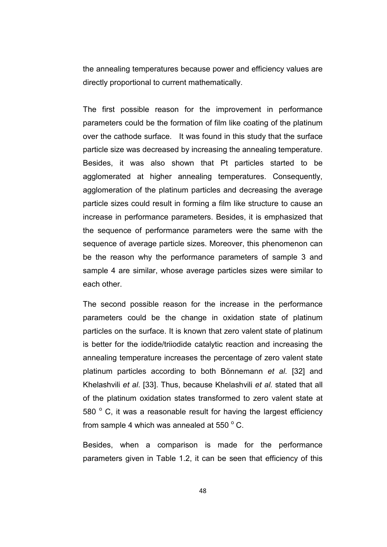the annealing temperatures because power and efficiency values are directly proportional to current mathematically.

The first possible reason for the improvement in performance parameters could be the formation of film like coating of the platinum over the cathode surface. It was found in this study that the surface particle size was decreased by increasing the annealing temperature. Besides, it was also shown that Pt particles started to be agglomerated at higher annealing temperatures. Consequently, agglomeration of the platinum particles and decreasing the average particle sizes could result in forming a film like structure to cause an increase in performance parameters. Besides, it is emphasized that the sequence of performance parameters were the same with the sequence of average particle sizes. Moreover, this phenomenon can be the reason why the performance parameters of sample 3 and sample 4 are similar, whose average particles sizes were similar to each other.

The second possible reason for the increase in the performance parameters could be the change in oxidation state of platinum particles on the surface. It is known that zero valent state of platinum is better for the iodide/triiodide catalytic reaction and increasing the annealing temperature increases the percentage of zero valent state platinum particles according to both Bönnemann et al. [32] and Khelashvili et al. [33]. Thus, because Khelashvili et al. stated that all of the platinum oxidation states transformed to zero valent state at 580  $\degree$  C, it was a reasonable result for having the largest efficiency from sample 4 which was annealed at 550  $^{\circ}$  C.

Besides, when a comparison is made for the performance parameters given in Table 1.2, it can be seen that efficiency of this

48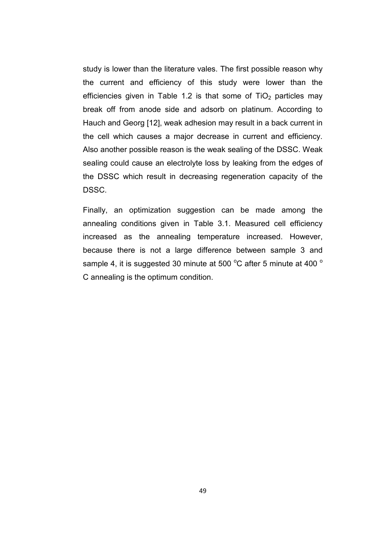study is lower than the literature vales. The first possible reason why the current and efficiency of this study were lower than the efficiencies given in Table 1.2 is that some of  $TiO<sub>2</sub>$  particles may break off from anode side and adsorb on platinum. According to Hauch and Georg [12], weak adhesion may result in a back current in the cell which causes a major decrease in current and efficiency. Also another possible reason is the weak sealing of the DSSC. Weak sealing could cause an electrolyte loss by leaking from the edges of the DSSC which result in decreasing regeneration capacity of the DSSC.

Finally, an optimization suggestion can be made among the annealing conditions given in Table 3.1. Measured cell efficiency increased as the annealing temperature increased. However, because there is not a large difference between sample 3 and sample 4, it is suggested 30 minute at 500  $^{\circ}$ C after 5 minute at 400  $^{\circ}$ C annealing is the optimum condition.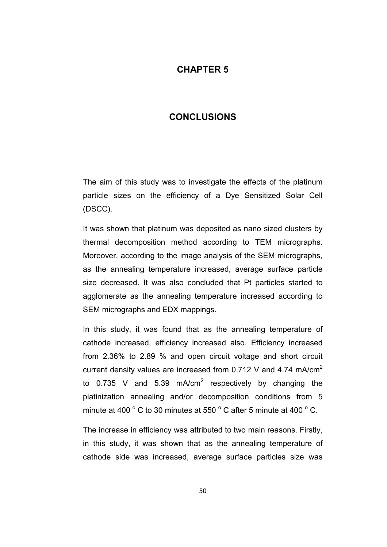## CHAPTER 5

# **CONCLUSIONS**

The aim of this study was to investigate the effects of the platinum particle sizes on the efficiency of a Dye Sensitized Solar Cell (DSCC).

It was shown that platinum was deposited as nano sized clusters by thermal decomposition method according to TEM micrographs. Moreover, according to the image analysis of the SEM micrographs, as the annealing temperature increased, average surface particle size decreased. It was also concluded that Pt particles started to agglomerate as the annealing temperature increased according to SEM micrographs and EDX mappings.

In this study, it was found that as the annealing temperature of cathode increased, efficiency increased also. Efficiency increased from 2.36% to 2.89 % and open circuit voltage and short circuit current density values are increased from 0.712 V and 4.74 mA/cm<sup>2</sup> to 0.735 V and 5.39 mA/cm<sup>2</sup> respectively by changing the platinization annealing and/or decomposition conditions from 5 minute at 400  $^{\circ}$  C to 30 minutes at 550  $^{\circ}$  C after 5 minute at 400  $^{\circ}$  C.

The increase in efficiency was attributed to two main reasons. Firstly, in this study, it was shown that as the annealing temperature of cathode side was increased, average surface particles size was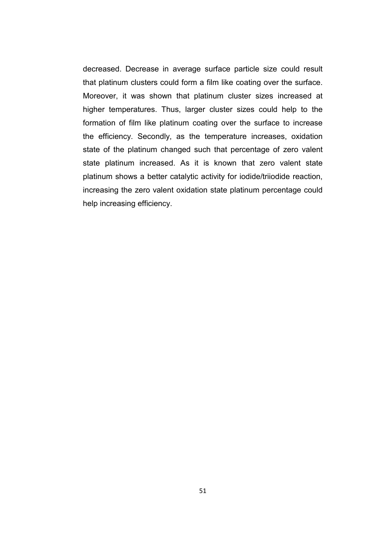decreased. Decrease in average surface particle size could result that platinum clusters could form a film like coating over the surface. Moreover, it was shown that platinum cluster sizes increased at higher temperatures. Thus, larger cluster sizes could help to the formation of film like platinum coating over the surface to increase the efficiency. Secondly, as the temperature increases, oxidation state of the platinum changed such that percentage of zero valent state platinum increased. As it is known that zero valent state platinum shows a better catalytic activity for iodide/triiodide reaction, increasing the zero valent oxidation state platinum percentage could help increasing efficiency.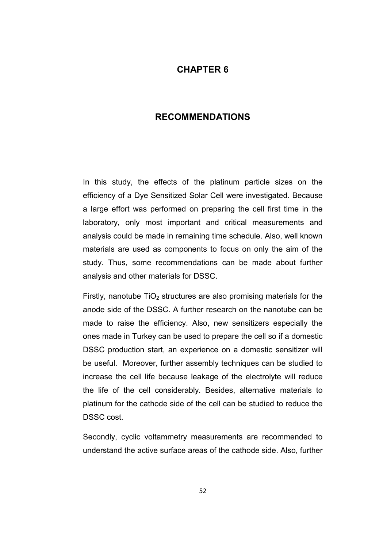## CHAPTER 6

## RECOMMENDATIONS

In this study, the effects of the platinum particle sizes on the efficiency of a Dye Sensitized Solar Cell were investigated. Because a large effort was performed on preparing the cell first time in the laboratory, only most important and critical measurements and analysis could be made in remaining time schedule. Also, well known materials are used as components to focus on only the aim of the study. Thus, some recommendations can be made about further analysis and other materials for DSSC.

Firstly, nanotube  $TiO<sub>2</sub>$  structures are also promising materials for the anode side of the DSSC. A further research on the nanotube can be made to raise the efficiency. Also, new sensitizers especially the ones made in Turkey can be used to prepare the cell so if a domestic DSSC production start, an experience on a domestic sensitizer will be useful. Moreover, further assembly techniques can be studied to increase the cell life because leakage of the electrolyte will reduce the life of the cell considerably. Besides, alternative materials to platinum for the cathode side of the cell can be studied to reduce the DSSC cost.

Secondly, cyclic voltammetry measurements are recommended to understand the active surface areas of the cathode side. Also, further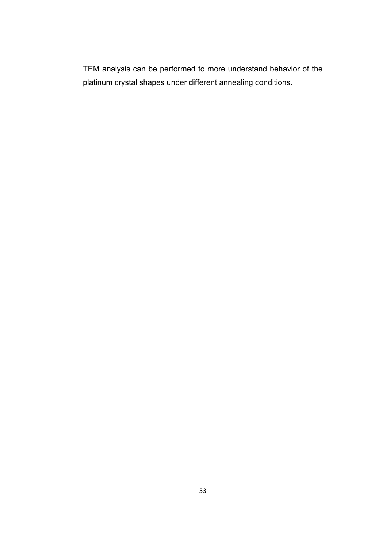TEM analysis can be performed to more understand behavior of the platinum crystal shapes under different annealing conditions.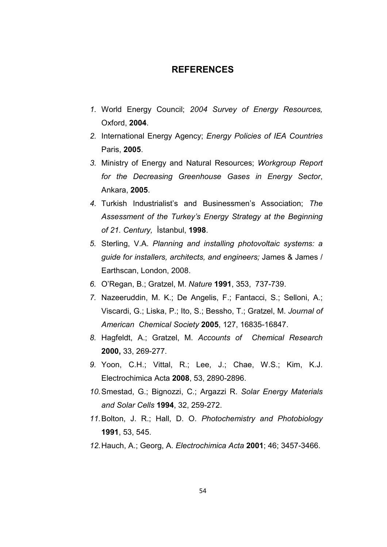### **REFERENCES**

- 1. World Energy Council; 2004 Survey of Energy Resources, Oxford, 2004.
- 2. International Energy Agency; Energy Policies of IEA Countries Paris, 2005.
- 3. Ministry of Energy and Natural Resources; Workgroup Report for the Decreasing Greenhouse Gases in Energy Sector, Ankara, 2005.
- 4. Turkish Industrialist's and Businessmen's Association; The Assessment of the Turkey's Energy Strategy at the Beginning of 21. Century, İstanbul, 1998.
- 5. Sterling, V.A. Planning and installing photovoltaic systems: a guide for installers, architects, and engineers; James & James / Earthscan, London, 2008.
- 6. O'Regan, B.; Gratzel, M. Nature 1991, 353, 737-739.
- 7. Nazeeruddin, M. K.; De Angelis, F.; Fantacci, S.; Selloni, A.; Viscardi, G.; Liska, P.; Ito, S.; Bessho, T.; Gratzel, M. Journal of American Chemical Society 2005, 127, 16835-16847.
- 8. Hagfeldt, A.; Gratzel, M. Accounts of Chemical Research 2000, 33, 269-277.
- 9. Yoon, C.H.; Vittal, R.; Lee, J.; Chae, W.S.; Kim, K.J. Electrochimica Acta 2008, 53, 2890-2896.
- 10. Smestad, G.; Bignozzi, C.; Argazzi R. Solar Energy Materials and Solar Cells 1994, 32, 259-272.
- 11. Bolton, J. R.; Hall, D. O. Photochemistry and Photobiology 1991, 53, 545.
- 12. Hauch, A.; Georg, A. Electrochimica Acta 2001; 46; 3457-3466.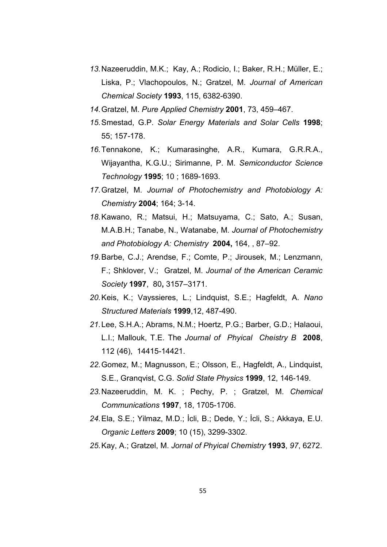- 13. Nazeeruddin, M.K.; Kay, A.; Rodicio, I.; Baker, R.H.; Müller, E.; Liska, P.; Vlachopoulos, N.; Gratzel, M. Journal of American Chemical Society 1993, 115, 6382-6390.
- 14. Gratzel, M. Pure Applied Chemistry 2001, 73, 459–467.
- 15. Smestad, G.P. Solar Energy Materials and Solar Cells 1998; 55; 157-178.
- 16. Tennakone, K.; Kumarasinghe, A.R., Kumara, G.R.R.A., Wijayantha, K.G.U.; Sirimanne, P. M. Semiconductor Science Technology 1995; 10 ; 1689-1693.
- 17. Gratzel, M. Journal of Photochemistry and Photobiology A: Chemistry 2004; 164; 3-14.
- 18. Kawano, R.; Matsui, H.; Matsuyama, C.; Sato, A.; Susan, M.A.B.H.; Tanabe, N., Watanabe, M. Journal of Photochemistry and Photobiology A: Chemistry 2004, 164, , 87–92.
- 19. Barbe, C.J.; Arendse, F.; Comte, P.; Jirousek, M.; Lenzmann, F.; Shklover, V.; Gratzel, M. Journal of the American Ceramic Society 1997, 80, 3157–3171.
- 20. Keis, K.; Vayssieres, L.; Lindquist, S.E.; Hagfeldt, A. Nano Structured Materials 1999,12, 487-490.
- 21. Lee, S.H.A.; Abrams, N.M.; Hoertz, P.G.; Barber, G.D.; Halaoui, L.I.; Mallouk, T.E. The Journal of Phyical Cheistry B 2008, 112 (46), 14415-14421.
- 22. Gomez, M.; Magnusson, E.; Olsson, E., Hagfeldt, A., Lindquist, S.E., Granqvist, C.G. Solid State Physics 1999, 12, 146-149.
- 23. Nazeeruddin, M. K. ; Pechy, P. ; Gratzel, M. Chemical Communications 1997, 18, 1705-1706.
- 24. Ela, S.E.; Yilmaz, M.D.; İcli, B.; Dede, Y.; İcli, S.; Akkaya, E.U. Organic Letters 2009; 10 (15), 3299-3302.
- 25. Kay, A.; Gratzel, M. Jornal of Phyical Chemistry 1993, 97, 6272.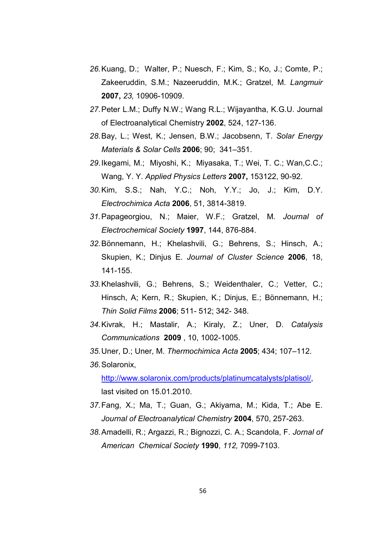- 26. Kuang, D.; Walter, P.; Nuesch, F.; Kim, S.; Ko, J.; Comte, P.; Zakeeruddin, S.M.; Nazeeruddin, M.K.; Gratzel, M. Langmuir 2007, 23, 10906-10909.
- 27. Peter L.M.; Duffy N.W.; Wang R.L.; Wijayantha, K.G.U. Journal of Electroanalytical Chemistry 2002, 524, 127-136.
- 28. Bay, L.; West, K.; Jensen, B.W.; Jacobsenn, T. Solar Energy Materials & Solar Cells 2006; 90; 341–351.
- 29. Ikegami, M.; Miyoshi, K.; Miyasaka, T.; Wei, T. C.; Wan,C.C.; Wang, Y. Y. Applied Physics Letters 2007, 153122, 90-92.
- 30. Kim, S.S.; Nah, Y.C.; Noh, Y.Y.; Jo, J.; Kim, D.Y. Electrochimica Acta 2006, 51, 3814-3819.
- 31. Papageorgiou, N.; Maier, W.F.; Gratzel, M. Journal of Electrochemical Society 1997, 144, 876-884.
- 32. Bönnemann, H.; Khelashvili, G.; Behrens, S.; Hinsch, A.; Skupien, K.; Dinjus E. Journal of Cluster Science 2006, 18, 141-155.
- 33. Khelashvili, G.; Behrens, S.; Weidenthaler, C.; Vetter, C.; Hinsch, A; Kern, R.; Skupien, K.; Dinjus, E.; Bönnemann, H.; Thin Solid Films 2006; 511- 512; 342- 348.
- 34. Kivrak, H.; Mastalir, A.; Kiraly, Z.; Uner, D. Catalysis Communications 2009 , 10, 1002-1005.
- 35. Uner, D.; Uner, M. Thermochimica Acta 2005; 434; 107–112.
- 36. Solaronix, http://www.solaronix.com/products/platinumcatalysts/platisol/, last visited on 15.01.2010.
- 37. Fang, X.; Ma, T.; Guan, G.; Akiyama, M.; Kida, T.; Abe E. Journal of Electroanalytical Chemistry 2004, 570, 257-263.
- 38. Amadelli, R.; Argazzi, R.; Bignozzi, C. A.; Scandola, F. Jornal of American Chemical Society 1990, 112, 7099-7103.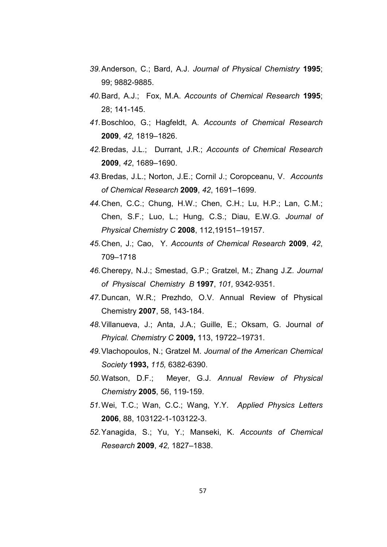- 39. Anderson, C.; Bard, A.J. Journal of Physical Chemistry 1995; 99; 9882-9885.
- 40. Bard, A.J.; Fox, M.A. Accounts of Chemical Research 1995; 28; 141-145.
- 41. Boschloo, G.; Hagfeldt, A. Accounts of Chemical Research 2009, 42, 1819–1826.
- 42. Bredas, J.L.; Durrant, J.R.; Accounts of Chemical Research 2009, 42, 1689–1690.
- 43. Bredas, J.L.; Norton, J.E.; Cornil J.; Coropceanu, V. Accounts of Chemical Research 2009, 42, 1691–1699.
- 44. Chen, C.C.; Chung, H.W.; Chen, C.H.; Lu, H.P.; Lan, C.M.; Chen, S.F.; Luo, L.; Hung, C.S.; Diau, E.W.G. Journal of Physical Chemistry C 2008, 112,19151–19157.
- 45. Chen, J.; Cao, Y. Accounts of Chemical Research 2009, 42, 709–1718
- 46. Cherepy, N.J.; Smestad, G.P.; Gratzel, M.; Zhang J.Z. Journal of Physiscal Chemistry B 1997, 101, 9342-9351.
- 47. Duncan, W.R.; Prezhdo, O.V. Annual Review of Physical Chemistry 2007, 58, 143-184.
- 48. Villanueva, J.; Anta, J.A.; Guille, E.; Oksam, G. Journal of Phyical. Chemistry C 2009, 113, 19722–19731.
- 49. Vlachopoulos, N.; Gratzel M. Journal of the American Chemical Society 1993, 115, 6382-6390.
- 50. Watson, D.F.; Meyer, G.J. Annual Review of Physical Chemistry 2005, 56, 119-159.
- 51. Wei, T.C.; Wan, C.C.; Wang, Y.Y. Applied Physics Letters 2006, 88, 103122-1-103122-3.
- 52. Yanagida, S.; Yu, Y.; Manseki, K. Accounts of Chemical Research 2009, 42, 1827–1838.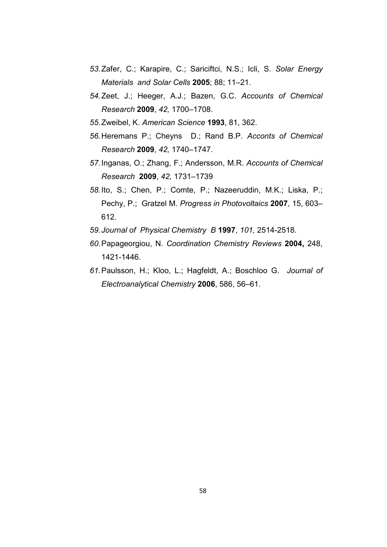- 53. Zafer, C.; Karapire, C.; Sariciftci, N.S.; Icli, S. Solar Energy Materials and Solar Cells 2005; 88; 11–21.
- 54. Zeet, J.; Heeger, A.J.; Bazen, G.C. Accounts of Chemical Research 2009, 42, 1700–1708.
- 55. Zweibel, K. American Science 1993, 81, 362.
- 56. Heremans P.; Cheyns D.; Rand B.P. Acconts of Chemical Research 2009, 42, 1740–1747.
- 57. Inganas, O.; Zhang, F.; Andersson, M.R. Accounts of Chemical Research 2009, 42, 1731–1739
- 58. Ito, S.; Chen, P.; Comte, P.; Nazeeruddin, M.K.; Liska, P.; Pechy, P.; Gratzel M. Progress in Photovoltaics 2007, 15, 603– 612.
- 59. Journal of Physical Chemistry B 1997, 101, 2514-2518.
- 60. Papageorgiou, N. Coordination Chemistry Reviews 2004, 248, 1421-1446.
- 61. Paulsson, H.; Kloo, L.; Hagfeldt, A.; Boschloo G. Journal of Electroanalytical Chemistry 2006, 586, 56–61.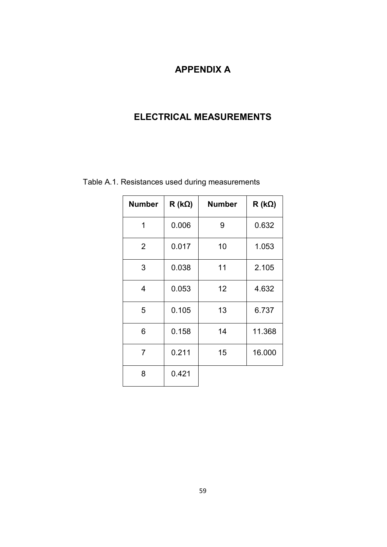## APPENDIX A

## ELECTRICAL MEASUREMENTS

| <b>Number</b>  | $R(k\Omega)$ | <b>Number</b> | $R(k\Omega)$ |
|----------------|--------------|---------------|--------------|
| 1              | 0.006        | 9             | 0.632        |
| $\overline{2}$ | 0.017        | 10            | 1.053        |
| 3              | 0.038        | 11            | 2.105        |
| $\overline{4}$ | 0.053        | 12            | 4.632        |
| 5              | 0.105        | 13            | 6.737        |
| 6              | 0.158        | 14            | 11.368       |
| $\overline{7}$ | 0.211        | 15            | 16.000       |
| 8              | 0.421        |               |              |

Table A.1. Resistances used during measurements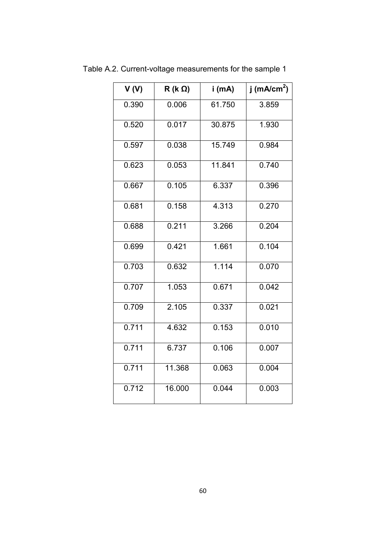| V(V)  | $R$ (k $\Omega$ ) | i (mA) | j (mA/cm <sup>2</sup> ) |
|-------|-------------------|--------|-------------------------|
| 0.390 | 0.006             | 61.750 | 3.859                   |
| 0.520 | 0.017             | 30.875 | 1.930                   |
| 0.597 | 0.038             | 15.749 | 0.984                   |
| 0.623 | 0.053             | 11.841 | 0.740                   |
| 0.667 | 0.105             | 6.337  | 0.396                   |
| 0.681 | 0.158             | 4.313  | 0.270                   |
| 0.688 | 0.211             | 3.266  | 0.204                   |
| 0.699 | 0.421             | 1.661  | 0.104                   |
| 0.703 | 0.632             | 1.114  | 0.070                   |
| 0.707 | 1.053             | 0.671  | 0.042                   |
| 0.709 | 2.105             | 0.337  | 0.021                   |
| 0.711 | 4.632             | 0.153  | 0.010                   |
| 0.711 | 6.737             | 0.106  | 0.007                   |
| 0.711 | 11.368            | 0.063  | 0.004                   |
| 0.712 | 16.000            | 0.044  | 0.003                   |

Table A.2. Current-voltage measurements for the sample 1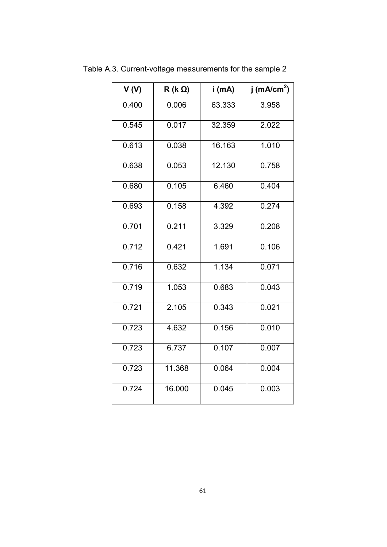| V(V)  | $R$ (k $\Omega$ ) | i (mA)              | j (mA/cm <sup>2</sup> ) |
|-------|-------------------|---------------------|-------------------------|
| 0.400 | 0.006             | 63.333              | 3.958                   |
| 0.545 | 0.017             | 32.359              | 2.022                   |
| 0.613 | 0.038             | 16.163              | 1.010                   |
| 0.638 | 0.053             | $12.\overline{130}$ | 0.758                   |
| 0.680 | 0.105             | 6.460               | 0.404                   |
| 0.693 | 0.158             | 4.392               | 0.274                   |
| 0.701 | 0.211             | 3.329               | 0.208                   |
| 0.712 | 0.421             | 1.691               | 0.106                   |
| 0.716 | 0.632             | 1.134               | 0.071                   |
| 0.719 | 1.053             | 0.683               | 0.043                   |
| 0.721 | 2.105             | 0.343               | 0.021                   |
| 0.723 | 4.632             | 0.156               | 0.010                   |
| 0.723 | 6.737             | 0.107               | 0.007                   |
| 0.723 | 11.368            | 0.064               | 0.004                   |
| 0.724 | 16.000            | 0.045               | 0.003                   |

Table A.3. Current-voltage measurements for the sample 2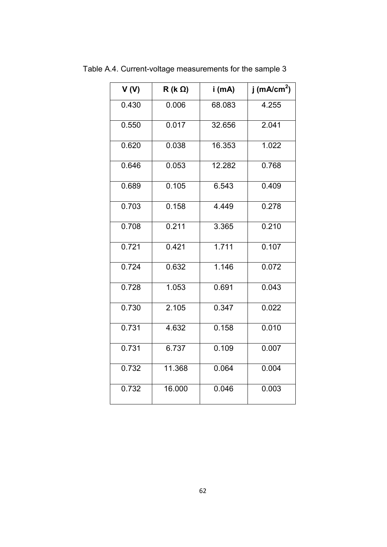| V <sub>(V)</sub> | $R$ (k $\Omega$ ) | i (mA) | j (mA/cm <sup>2</sup> ) |
|------------------|-------------------|--------|-------------------------|
| 0.430            | 0.006             | 68.083 | 4.255                   |
| 0.550            | 0.017             | 32.656 | 2.041                   |
| 0.620            | 0.038             | 16.353 | 1.022                   |
| 0.646            | 0.053             | 12.282 | 0.768                   |
| 0.689            | 0.105             | 6.543  | 0.409                   |
| 0.703            | 0.158             | 4.449  | 0.278                   |
| 0.708            | 0.211             | 3.365  | 0.210                   |
| 0.721            | 0.421             | 1.711  | 0.107                   |
| 0.724            | 0.632             | 1.146  | 0.072                   |
| 0.728            | 1.053             | 0.691  | 0.043                   |
| 0.730            | 2.105             | 0.347  | 0.022                   |
| 0.731            | 4.632             | 0.158  | 0.010                   |
| 0.731            | 6.737             | 0.109  | 0.007                   |
| 0.732            | 11.368            | 0.064  | 0.004                   |
| 0.732            | 16.000            | 0.046  | 0.003                   |

Table A.4. Current-voltage measurements for the sample 3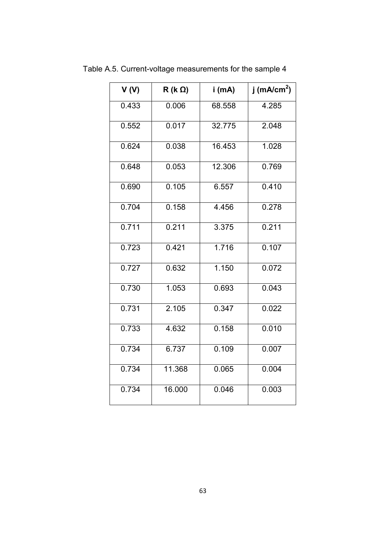| V(V)  | $R$ (k $\Omega$ ) | i (mA) | j (mA/cm <sup>2</sup> ) |
|-------|-------------------|--------|-------------------------|
| 0.433 | 0.006             | 68.558 | 4.285                   |
| 0.552 | 0.017             | 32.775 | 2.048                   |
| 0.624 | 0.038             | 16.453 | 1.028                   |
| 0.648 | 0.053             | 12.306 | 0.769                   |
| 0.690 | 0.105             | 6.557  | 0.410                   |
| 0.704 | 0.158             | 4.456  | 0.278                   |
| 0.711 | 0.211             | 3.375  | 0.211                   |
| 0.723 | 0.421             | 1.716  | 0.107                   |
| 0.727 | 0.632             | 1.150  | 0.072                   |
| 0.730 | 1.053             | 0.693  | 0.043                   |
| 0.731 | 2.105             | 0.347  | 0.022                   |
| 0.733 | 4.632             | 0.158  | 0.010                   |
| 0.734 | 6.737             | 0.109  | 0.007                   |
| 0.734 | 11.368            | 0.065  | 0.004                   |
| 0.734 | 16.000            | 0.046  | 0.003                   |

Table A.5. Current-voltage measurements for the sample 4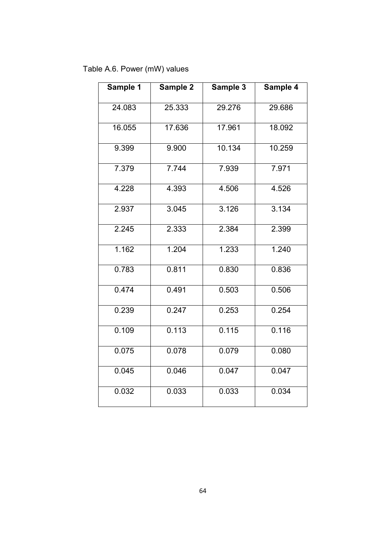Table A.6. Power (mW) values

| Sample 1 | Sample 2 | Sample 3 | Sample 4 |
|----------|----------|----------|----------|
| 24.083   | 25.333   | 29.276   | 29.686   |
| 16.055   | 17.636   | 17.961   | 18.092   |
| 9.399    | 9.900    | 10.134   | 10.259   |
| 7.379    | 7.744    | 7.939    | 7.971    |
| 4.228    | 4.393    | 4.506    | 4.526    |
| 2.937    | 3.045    | 3.126    | 3.134    |
| 2.245    | 2.333    | 2.384    | 2.399    |
| 1.162    | 1.204    | 1.233    | 1.240    |
| 0.783    | 0.811    | 0.830    | 0.836    |
| 0.474    | 0.491    | 0.503    | 0.506    |
| 0.239    | 0.247    | 0.253    | 0.254    |
| 0.109    | 0.113    | 0.115    | 0.116    |
| 0.075    | 0.078    | 0.079    | 0.080    |
| 0.045    | 0.046    | 0.047    | 0.047    |
| 0.032    | 0.033    | 0.033    | 0.034    |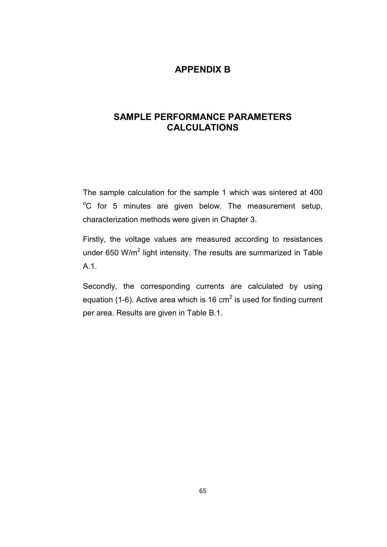#### APPENDIX B

#### SAMPLE PERFORMANCE PARAMETERS CALCULATIONS

The sample calculation for the sample 1 which was sintered at 400  $\degree$ C for 5 minutes are given below. The measurement setup, characterization methods were given in Chapter 3.

Firstly, the voltage values are measured according to resistances under 650 W/m<sup>2</sup> light intensity. The results are summarized in Table A.1.

Secondly, the corresponding currents are calculated by using equation (1-6). Active area which is 16 cm<sup>2</sup> is used for finding current per area. Results are given in Table B.1.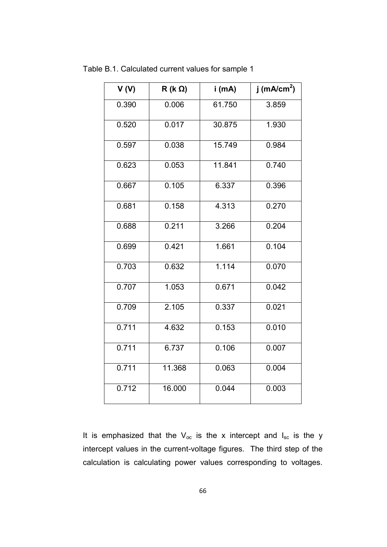| V(V)  | $R$ (k $\Omega$ ) | i (mA) | j (m $A/cm2$ ) |
|-------|-------------------|--------|----------------|
| 0.390 | 0.006             | 61.750 | 3.859          |
| 0.520 | 0.017             | 30.875 | 1.930          |
| 0.597 | 0.038             | 15.749 | 0.984          |
| 0.623 | 0.053             | 11.841 | 0.740          |
| 0.667 | 0.105             | 6.337  | 0.396          |
| 0.681 | 0.158             | 4.313  | 0.270          |
| 0.688 | 0.211             | 3.266  | 0.204          |
| 0.699 | 0.421             | 1.661  | 0.104          |
| 0.703 | 0.632             | 1.114  | 0.070          |
| 0.707 | 1.053             | 0.671  | 0.042          |
| 0.709 | 2.105             | 0.337  | 0.021          |
| 0.711 | 4.632             | 0.153  | 0.010          |
| 0.711 | 6.737             | 0.106  | 0.007          |
| 0.711 | 11.368            | 0.063  | 0.004          |
| 0.712 | 16.000            | 0.044  | 0.003          |

Table B.1. Calculated current values for sample 1

It is emphasized that the  $V_{oc}$  is the x intercept and  $I_{sc}$  is the y intercept values in the current-voltage figures. The third step of the calculation is calculating power values corresponding to voltages.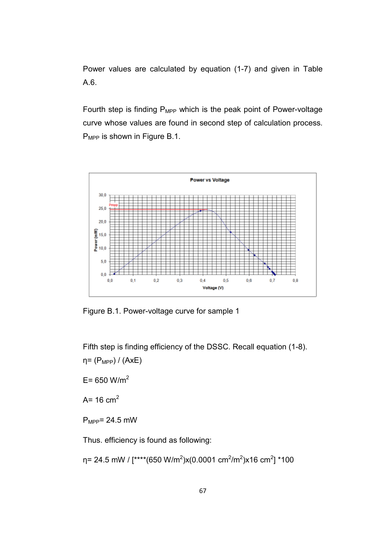Power values are calculated by equation (1-7) and given in Table A.6.

Fourth step is finding  $P_{MPP}$  which is the peak point of Power-voltage curve whose values are found in second step of calculation process. P<sub>MPP</sub> is shown in Figure B.1.



Figure B.1. Power-voltage curve for sample 1

Fifth step is finding efficiency of the DSSC. Recall equation (1-8).  $η = (P<sub>MPP</sub>) / (AxE)$ 

 $E = 650$  W/m<sup>2</sup>

 $A = 16$  cm<sup>2</sup>

 $P_{MPP}$ = 24.5 mW

Thus. efficiency is found as following:

η= 24.5 mW / [\*\*\*\*(650 W/m<sup>2</sup>)x(0.0001 cm<sup>2</sup>/m<sup>2</sup>)x16 cm<sup>2</sup>] \*100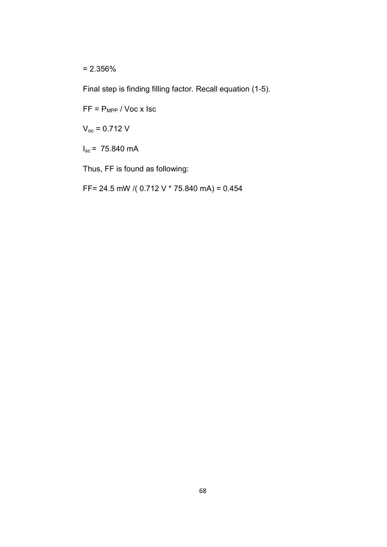= 2.356%

Final step is finding filling factor. Recall equation (1-5).

 $FF = P_{MPP} / Voc \times lsc$ 

 $V_{oc}$  = 0.712 V

 $I_{\text{sc}} = 75.840 \text{ mA}$ 

Thus, FF is found as following:

FF= 24.5 mW /( 0.712 V \* 75.840 mA) = 0.454